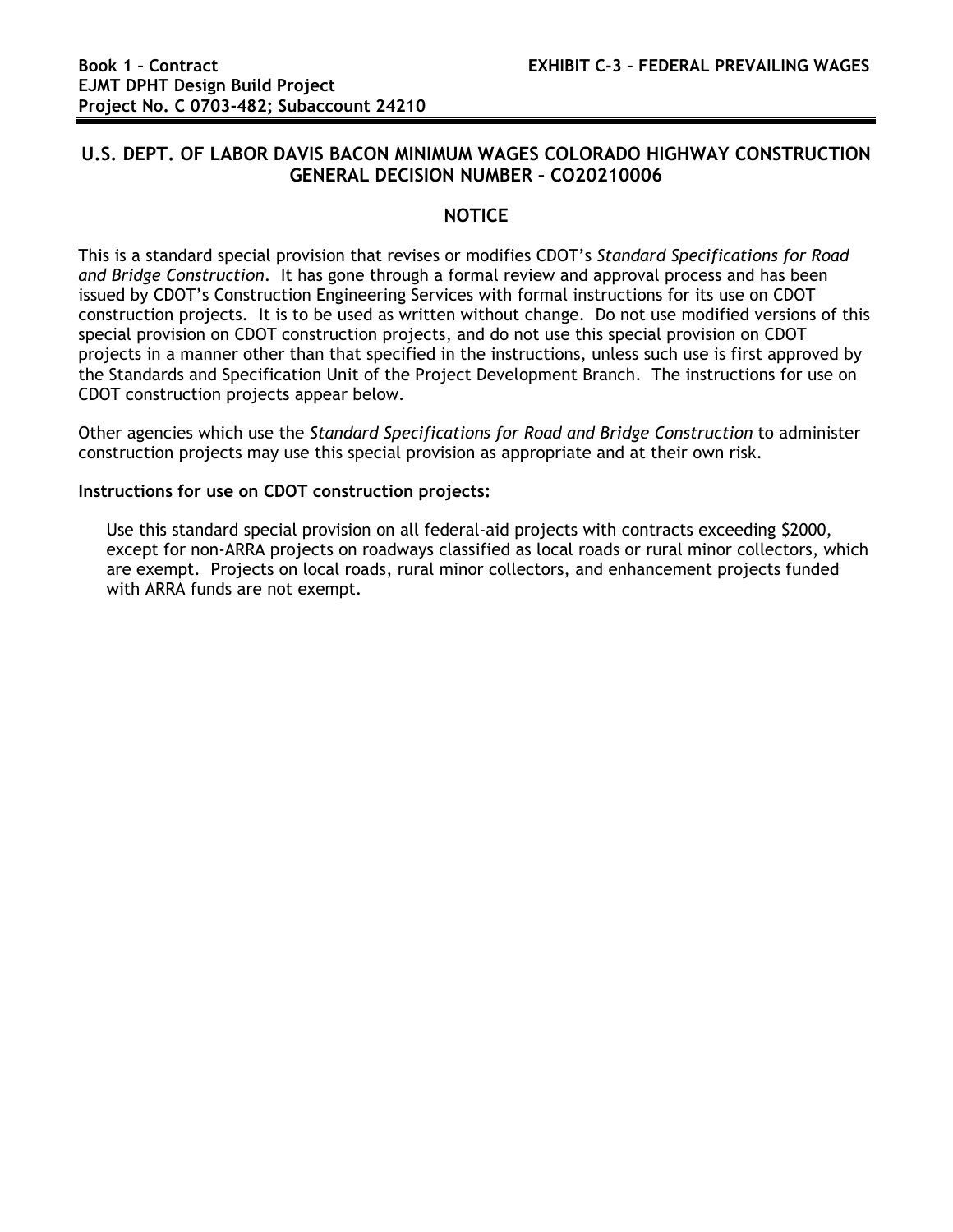#### **U.S. DEPT. OF LABOR DAVIS BACON MINIMUM WAGES COLORADO HIGHWAY CONSTRUCTION GENERAL DECISION NUMBER – CO20210006**

#### **NOTICE**

This is a standard special provision that revises or modifies CDOT's *Standard Specifications for Road and Bridge Construction*. It has gone through a formal review and approval process and has been issued by CDOT's Construction Engineering Services with formal instructions for its use on CDOT construction projects. It is to be used as written without change. Do not use modified versions of this special provision on CDOT construction projects, and do not use this special provision on CDOT projects in a manner other than that specified in the instructions, unless such use is first approved by the Standards and Specification Unit of the Project Development Branch. The instructions for use on CDOT construction projects appear below.

Other agencies which use the *Standard Specifications for Road and Bridge Construction* to administer construction projects may use this special provision as appropriate and at their own risk.

#### **Instructions for use on CDOT construction projects:**

Use this standard special provision on all federal-aid projects with contracts exceeding \$2000, except for non-ARRA projects on roadways classified as local roads or rural minor collectors, which are exempt. Projects on local roads, rural minor collectors, and enhancement projects funded with ARRA funds are not exempt.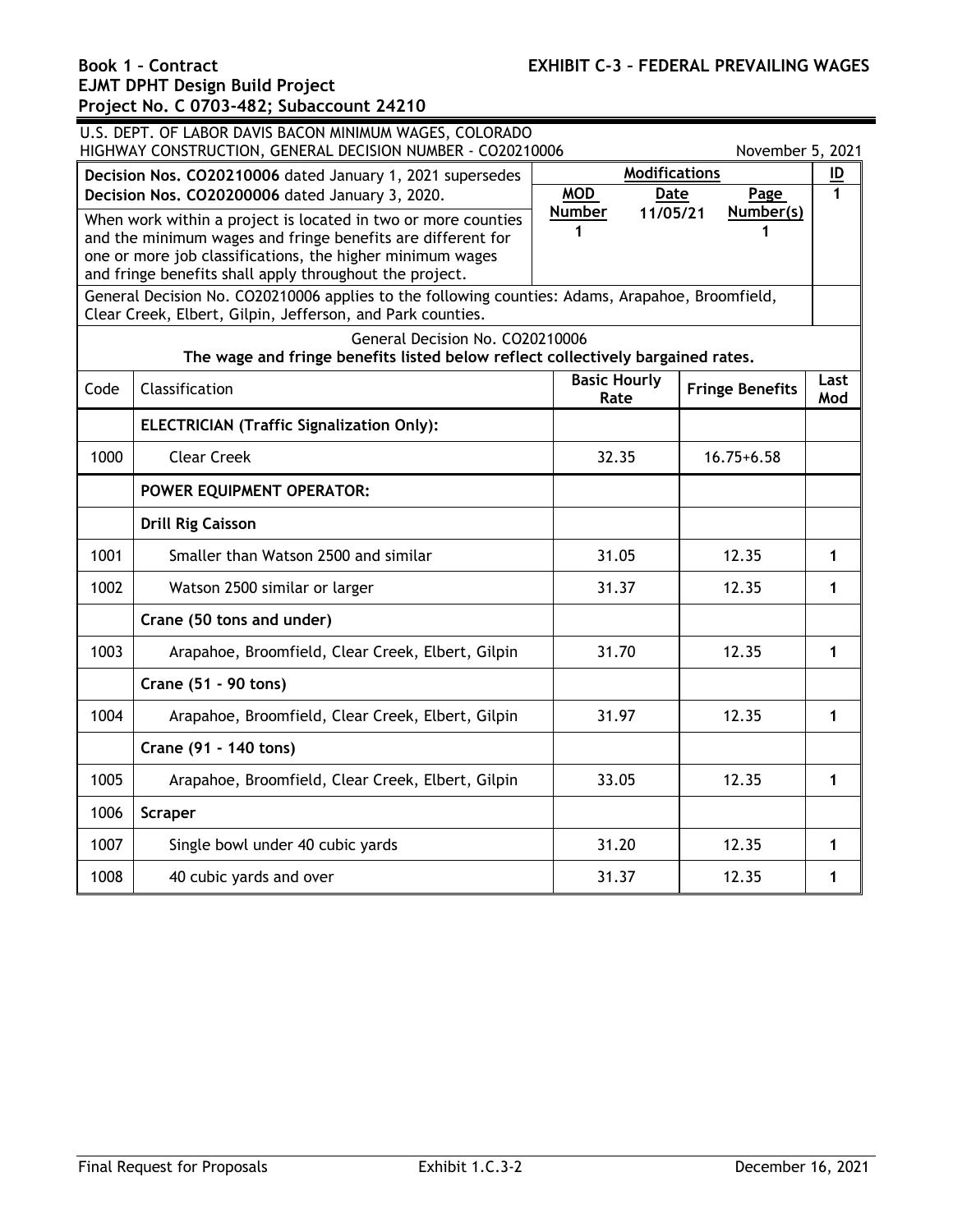|      | U.S. DEPT. OF LABOR DAVIS BACON MINIMUM WAGES, COLORADO<br>HIGHWAY CONSTRUCTION, GENERAL DECISION NUMBER - CO20210006                                                                                                                                |                                                 | November 5, 2021       |             |
|------|------------------------------------------------------------------------------------------------------------------------------------------------------------------------------------------------------------------------------------------------------|-------------------------------------------------|------------------------|-------------|
|      | Decision Nos. CO20210006 dated January 1, 2021 supersedes                                                                                                                                                                                            | <b>Modifications</b>                            |                        | ID          |
|      | Decision Nos. CO20200006 dated January 3, 2020.                                                                                                                                                                                                      | <b>MOD</b><br>Date<br><b>Number</b><br>11/05/21 | Page<br>Number(s)      | 1           |
|      | When work within a project is located in two or more counties<br>and the minimum wages and fringe benefits are different for<br>one or more job classifications, the higher minimum wages<br>and fringe benefits shall apply throughout the project. |                                                 |                        |             |
|      | General Decision No. CO20210006 applies to the following counties: Adams, Arapahoe, Broomfield,<br>Clear Creek, Elbert, Gilpin, Jefferson, and Park counties.                                                                                        |                                                 |                        |             |
|      | General Decision No. CO20210006<br>The wage and fringe benefits listed below reflect collectively bargained rates.                                                                                                                                   |                                                 |                        |             |
| Code | Classification                                                                                                                                                                                                                                       | <b>Basic Hourly</b><br>Rate                     | <b>Fringe Benefits</b> | Last<br>Mod |
|      | <b>ELECTRICIAN (Traffic Signalization Only):</b>                                                                                                                                                                                                     |                                                 |                        |             |
| 1000 | <b>Clear Creek</b>                                                                                                                                                                                                                                   | 32.35                                           | $16.75 + 6.58$         |             |
|      | POWER EQUIPMENT OPERATOR:                                                                                                                                                                                                                            |                                                 |                        |             |
|      | <b>Drill Rig Caisson</b>                                                                                                                                                                                                                             |                                                 |                        |             |
| 1001 | Smaller than Watson 2500 and similar                                                                                                                                                                                                                 | 31.05                                           | 12.35                  | 1           |
| 1002 | Watson 2500 similar or larger                                                                                                                                                                                                                        | 31.37                                           | 12.35                  | 1           |
|      | Crane (50 tons and under)                                                                                                                                                                                                                            |                                                 |                        |             |
| 1003 | Arapahoe, Broomfield, Clear Creek, Elbert, Gilpin                                                                                                                                                                                                    | 31.70                                           | 12.35                  | 1           |
|      | Crane (51 - 90 tons)                                                                                                                                                                                                                                 |                                                 |                        |             |
| 1004 | Arapahoe, Broomfield, Clear Creek, Elbert, Gilpin                                                                                                                                                                                                    | 31.97                                           | 12.35                  | 1           |
|      | Crane (91 - 140 tons)                                                                                                                                                                                                                                |                                                 |                        |             |
| 1005 | Arapahoe, Broomfield, Clear Creek, Elbert, Gilpin                                                                                                                                                                                                    | 33.05                                           | 12.35                  | 1           |
| 1006 | Scraper                                                                                                                                                                                                                                              |                                                 |                        |             |
| 1007 | Single bowl under 40 cubic yards                                                                                                                                                                                                                     | 31.20                                           | 12.35                  | 1           |
| 1008 | 40 cubic yards and over                                                                                                                                                                                                                              | 31.37                                           | 12.35                  | 1           |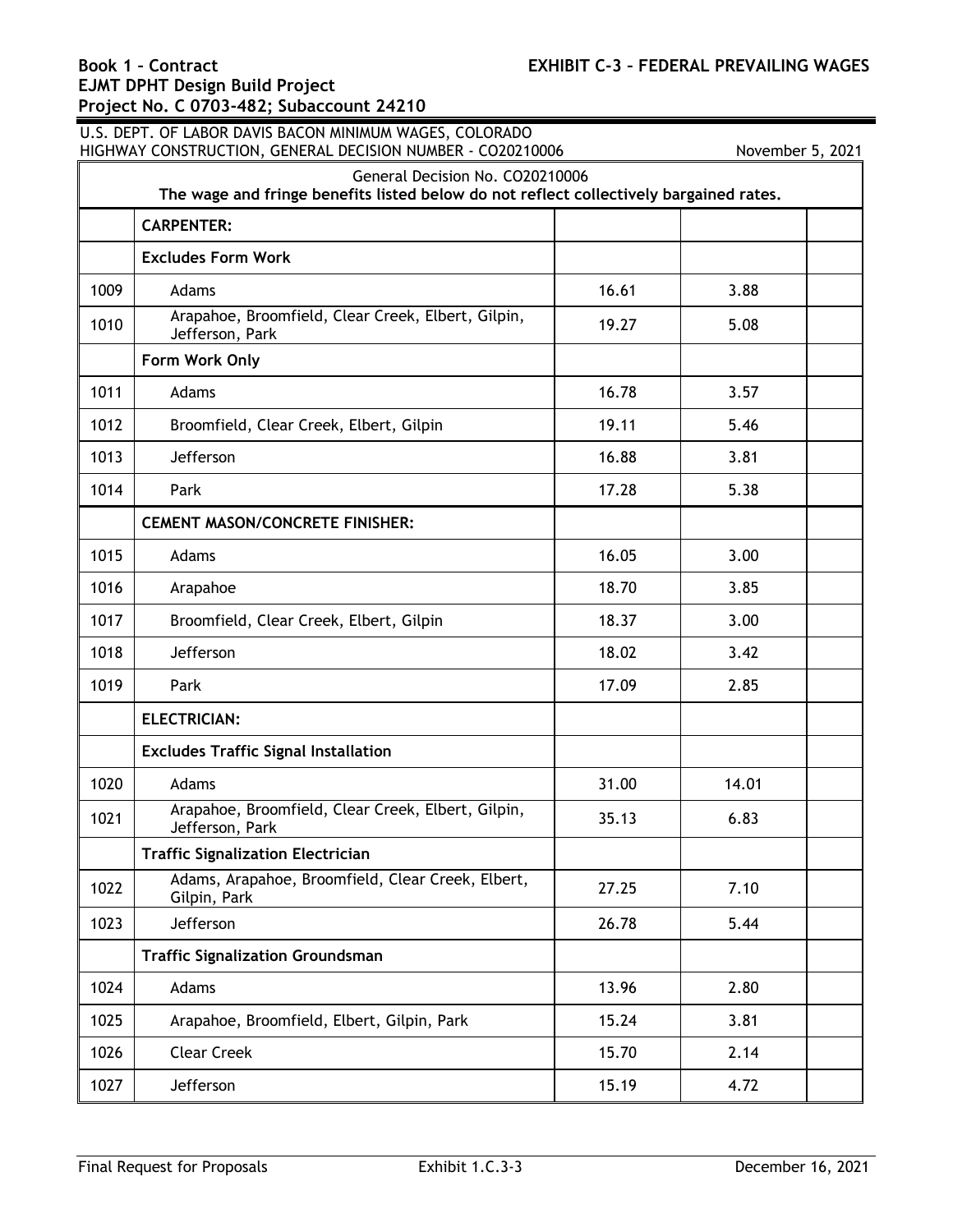U.S. DEPT. OF LABOR DAVIS BACON MINIMUM WAGES, COLORADO HIGHWAY CONSTRUCTION, GENERAL DECISION NUMBER - CO20210006 November 5, 2021

|      | General Decision No. CO20210006<br>The wage and fringe benefits listed below do not reflect collectively bargained rates. |       |       |  |
|------|---------------------------------------------------------------------------------------------------------------------------|-------|-------|--|
|      | <b>CARPENTER:</b>                                                                                                         |       |       |  |
|      | <b>Excludes Form Work</b>                                                                                                 |       |       |  |
| 1009 | Adams                                                                                                                     | 16.61 | 3.88  |  |
| 1010 | Arapahoe, Broomfield, Clear Creek, Elbert, Gilpin,<br>Jefferson, Park                                                     | 19.27 | 5.08  |  |
|      | Form Work Only                                                                                                            |       |       |  |
| 1011 | Adams                                                                                                                     | 16.78 | 3.57  |  |
| 1012 | Broomfield, Clear Creek, Elbert, Gilpin                                                                                   | 19.11 | 5.46  |  |
| 1013 | Jefferson                                                                                                                 | 16.88 | 3.81  |  |
| 1014 | Park                                                                                                                      | 17.28 | 5.38  |  |
|      | <b>CEMENT MASON/CONCRETE FINISHER:</b>                                                                                    |       |       |  |
| 1015 | Adams                                                                                                                     | 16.05 | 3.00  |  |
| 1016 | Arapahoe                                                                                                                  | 18.70 | 3.85  |  |
| 1017 | Broomfield, Clear Creek, Elbert, Gilpin                                                                                   | 18.37 | 3.00  |  |
| 1018 | Jefferson                                                                                                                 | 18.02 | 3.42  |  |
| 1019 | Park                                                                                                                      | 17.09 | 2.85  |  |
|      | <b>ELECTRICIAN:</b>                                                                                                       |       |       |  |
|      | <b>Excludes Traffic Signal Installation</b>                                                                               |       |       |  |
| 1020 | Adams                                                                                                                     | 31.00 | 14.01 |  |
| 1021 | Arapahoe, Broomfield, Clear Creek, Elbert, Gilpin,<br>Jefferson, Park                                                     | 35.13 | 6.83  |  |
|      | <b>Traffic Signalization Electrician</b>                                                                                  |       |       |  |
| 1022 | Adams, Arapahoe, Broomfield, Clear Creek, Elbert,<br>Gilpin, Park                                                         | 27.25 | 7.10  |  |
| 1023 | Jefferson                                                                                                                 | 26.78 | 5.44  |  |
|      | <b>Traffic Signalization Groundsman</b>                                                                                   |       |       |  |
| 1024 | Adams                                                                                                                     | 13.96 | 2.80  |  |
| 1025 | Arapahoe, Broomfield, Elbert, Gilpin, Park                                                                                | 15.24 | 3.81  |  |
| 1026 | <b>Clear Creek</b>                                                                                                        | 15.70 | 2.14  |  |
| 1027 | Jefferson                                                                                                                 | 15.19 | 4.72  |  |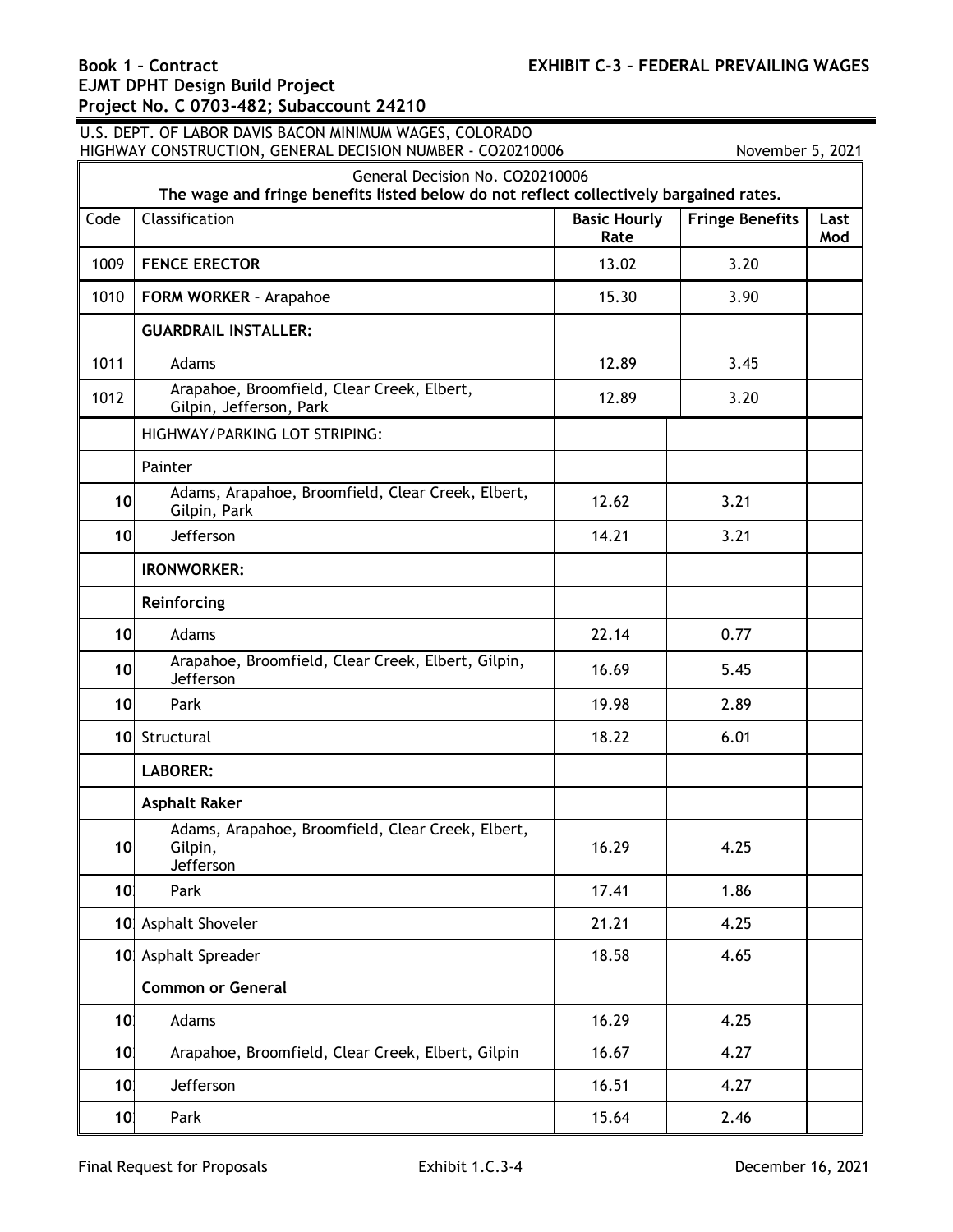|                 | U.S. DEPT. OF LABOR DAVIS BACON MINIMUM WAGES, COLORADO<br>HIGHWAY CONSTRUCTION, GENERAL DECISION NUMBER - CO20210006     |                             | November 5, 2021       |             |
|-----------------|---------------------------------------------------------------------------------------------------------------------------|-----------------------------|------------------------|-------------|
|                 | General Decision No. CO20210006<br>The wage and fringe benefits listed below do not reflect collectively bargained rates. |                             |                        |             |
| Code            | Classification                                                                                                            | <b>Basic Hourly</b><br>Rate | <b>Fringe Benefits</b> | Last<br>Mod |
| 1009            | <b>FENCE ERECTOR</b>                                                                                                      | 13.02                       | 3.20                   |             |
| 1010            | FORM WORKER - Arapahoe                                                                                                    | 15.30                       | 3.90                   |             |
|                 | <b>GUARDRAIL INSTALLER:</b>                                                                                               |                             |                        |             |
| 1011            | Adams                                                                                                                     | 12.89                       | 3.45                   |             |
| 1012            | Arapahoe, Broomfield, Clear Creek, Elbert,<br>Gilpin, Jefferson, Park                                                     | 12.89                       | 3.20                   |             |
|                 | HIGHWAY/PARKING LOT STRIPING:                                                                                             |                             |                        |             |
|                 | Painter                                                                                                                   |                             |                        |             |
| 10              | Adams, Arapahoe, Broomfield, Clear Creek, Elbert,<br>Gilpin, Park                                                         | 12.62                       | 3.21                   |             |
| 10              | Jefferson                                                                                                                 | 14.21                       | 3.21                   |             |
|                 | <b>IRONWORKER:</b>                                                                                                        |                             |                        |             |
|                 | Reinforcing                                                                                                               |                             |                        |             |
| 10              | Adams                                                                                                                     | 22.14                       | 0.77                   |             |
| 10              | Arapahoe, Broomfield, Clear Creek, Elbert, Gilpin,<br>Jefferson                                                           | 16.69                       | 5.45                   |             |
| 10              | Park                                                                                                                      | 19.98                       | 2.89                   |             |
|                 | 10 Structural                                                                                                             | 18.22                       | 6.01                   |             |
|                 | <b>LABORER:</b>                                                                                                           |                             |                        |             |
|                 | <b>Asphalt Raker</b>                                                                                                      |                             |                        |             |
| 10              | Adams, Arapahoe, Broomfield, Clear Creek, Elbert,<br>Gilpin,<br>Jefferson                                                 | 16.29                       | 4.25                   |             |
| 10 <sub>1</sub> | Park                                                                                                                      | 17.41                       | 1.86                   |             |
|                 | 10 Asphalt Shoveler                                                                                                       | 21.21                       | 4.25                   |             |
|                 | 10 Asphalt Spreader                                                                                                       | 18.58                       | 4.65                   |             |
|                 | <b>Common or General</b>                                                                                                  |                             |                        |             |
| 10              | Adams                                                                                                                     | 16.29                       | 4.25                   |             |
| 10 <sub>1</sub> | Arapahoe, Broomfield, Clear Creek, Elbert, Gilpin                                                                         | 16.67                       | 4.27                   |             |
| 10              | Jefferson                                                                                                                 | 16.51                       | 4.27                   |             |
| 10 <sub>1</sub> | Park                                                                                                                      | 15.64                       | 2.46                   |             |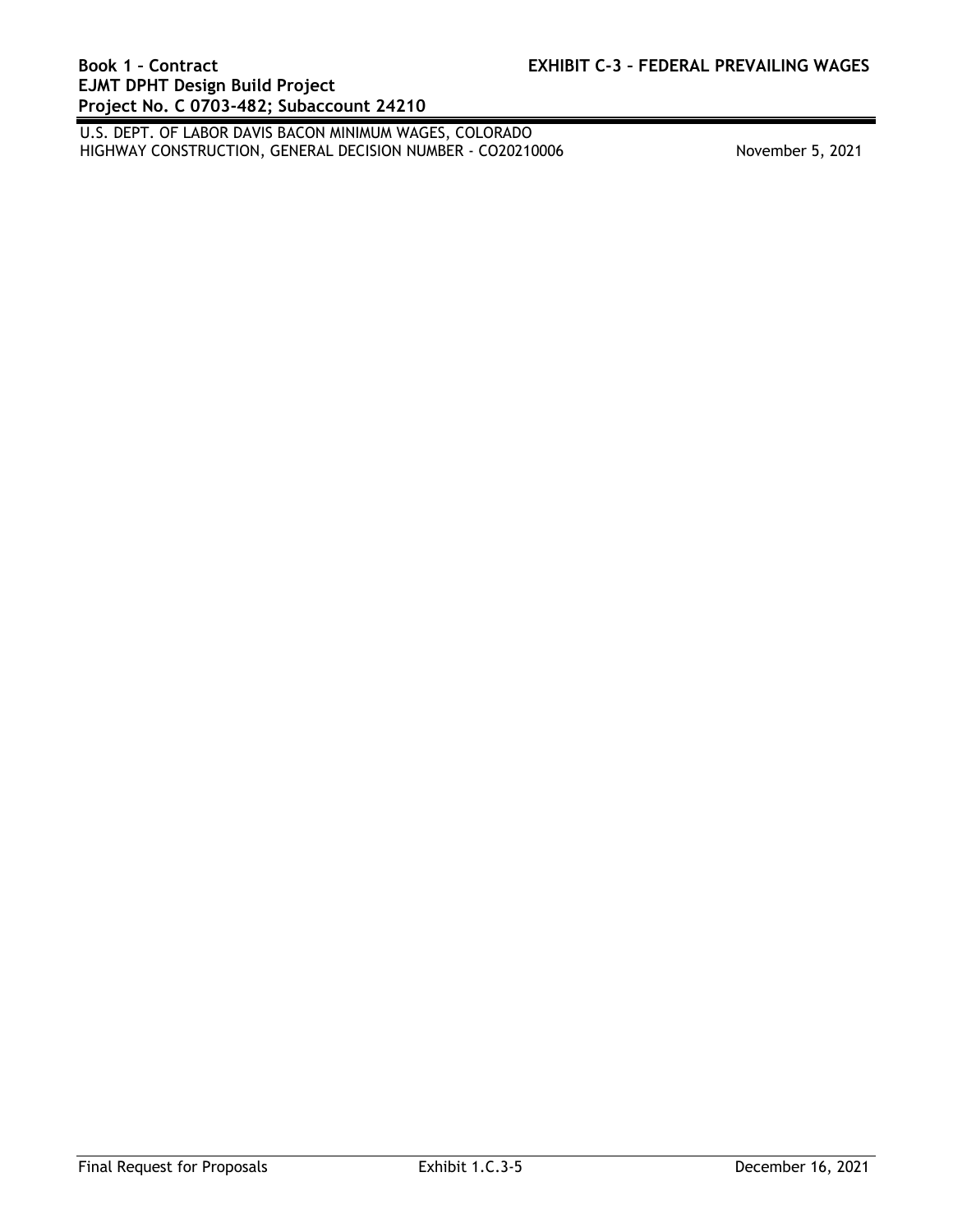U.S. DEPT. OF LABOR DAVIS BACON MINIMUM WAGES, COLORADO HIGHWAY CONSTRUCTION, GENERAL DECISION NUMBER - CO20210006 November 5, 2021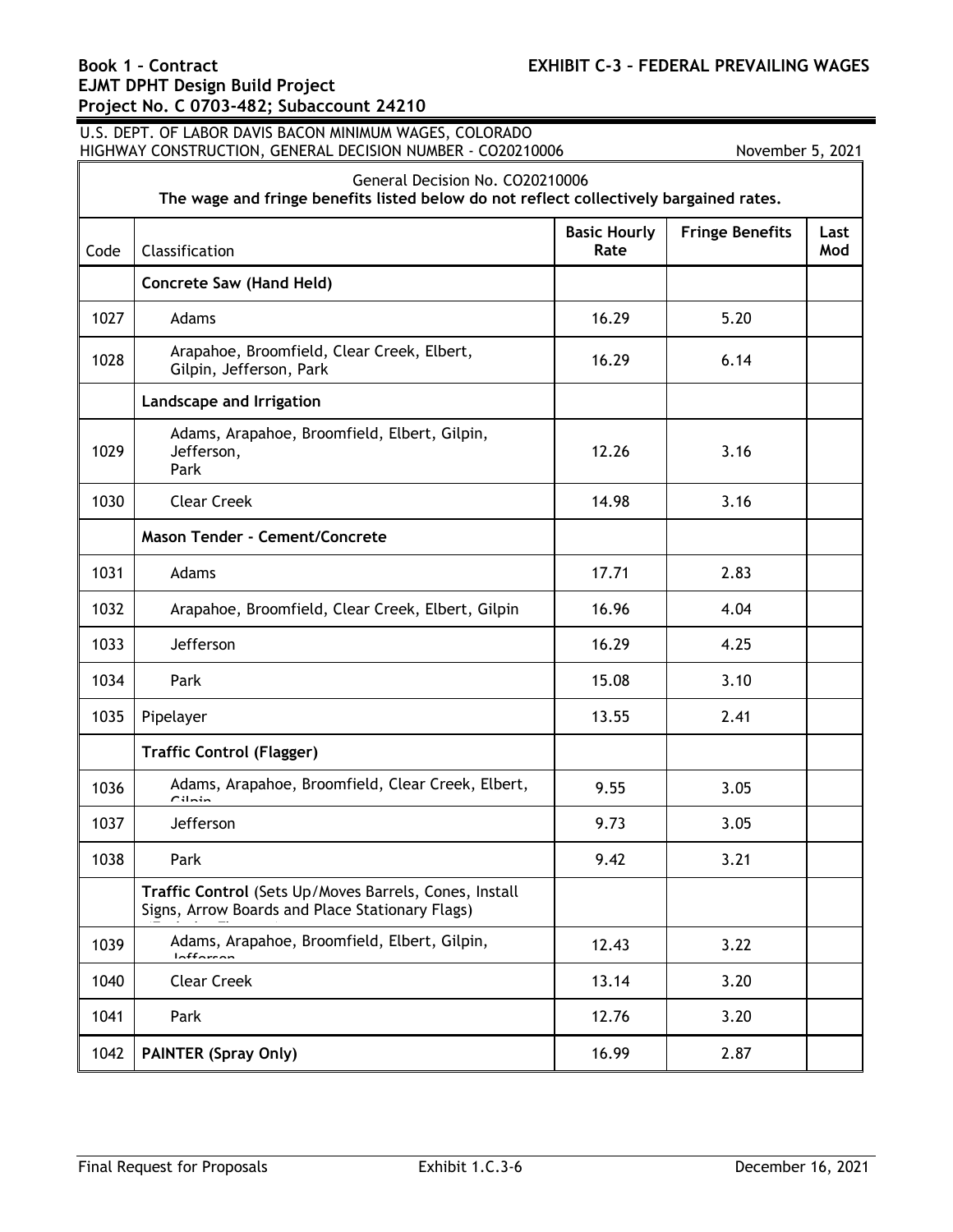U.S. DEPT. OF LABOR DAVIS BACON MINIMUM WAGES, COLORADO HIGHWAY CONSTRUCTION, GENERAL DECISION NUMBER - CO20210006 November 5, 2021

#### General Decision No. CO20210006 **The wage and fringe benefits listed below do not reflect collectively bargained rates.**  Code | Classification **Basic Hourly Rate Fringe Benefits Last Mod Concrete Saw (Hand Held)**  1027 Adams 16.29 5.20 1028 Arapahoe, Broomfield, Clear Creek, Elbert, Arapanoe, Broomneld, Clear Creek, Elbert, [Clear of the 16.29 and 16.29 and 16.14 **Landscape and Irrigation**  1029 Adams, Arapahoe, Broomfield, Elbert, Gilpin, Jefferson, Park 12.26 3.16 1030 Clear Creek 16.16 (14.98  $\vert$  3.16 **Mason Tender - Cement/Concrete**  1031 | Adams | 17.71 | 2.83 1032 Arapahoe, Broomfield, Clear Creek, Elbert, Gilpin | 16.96 | 4.04 1033 Jefferson 16.29 4.25 1034 | Park 15.08 | 3.10 1035 Pipelayer 2.41 and the contract of the contract of the contract of the contract of the contract of the contract of the contract of the contract of the contract of the contract of the contract of the contract of the co **Traffic Control (Flagger)**  1036 | Adams, Arapahoe, Broomfield, Clear Creek, Elbert,  $C<sub>1</sub>$ inin 9.55 3.05

1037 Jefferson 9.73 3.05 1038 Park 1038 Park 1038 Park 1038 Park 1038 Park 1038 Park 1038 Park 1038 Park 1 **Traffic Control** (Sets Up/Moves Barrels, Cones, Install Signs, Arrow Boards and Place Stationary Flags) (Excludes Flaggers) 1039 | Adams, Arapahoe, Broomfield, Elbert, Gilpin,  $I$ efferson 12.43 | 3.22 1040 Clear Creek 13.14 3.20 1041 | Park 12.76 | 3.20 1042 **PAINTER (Spray Only)** 16.99 2.87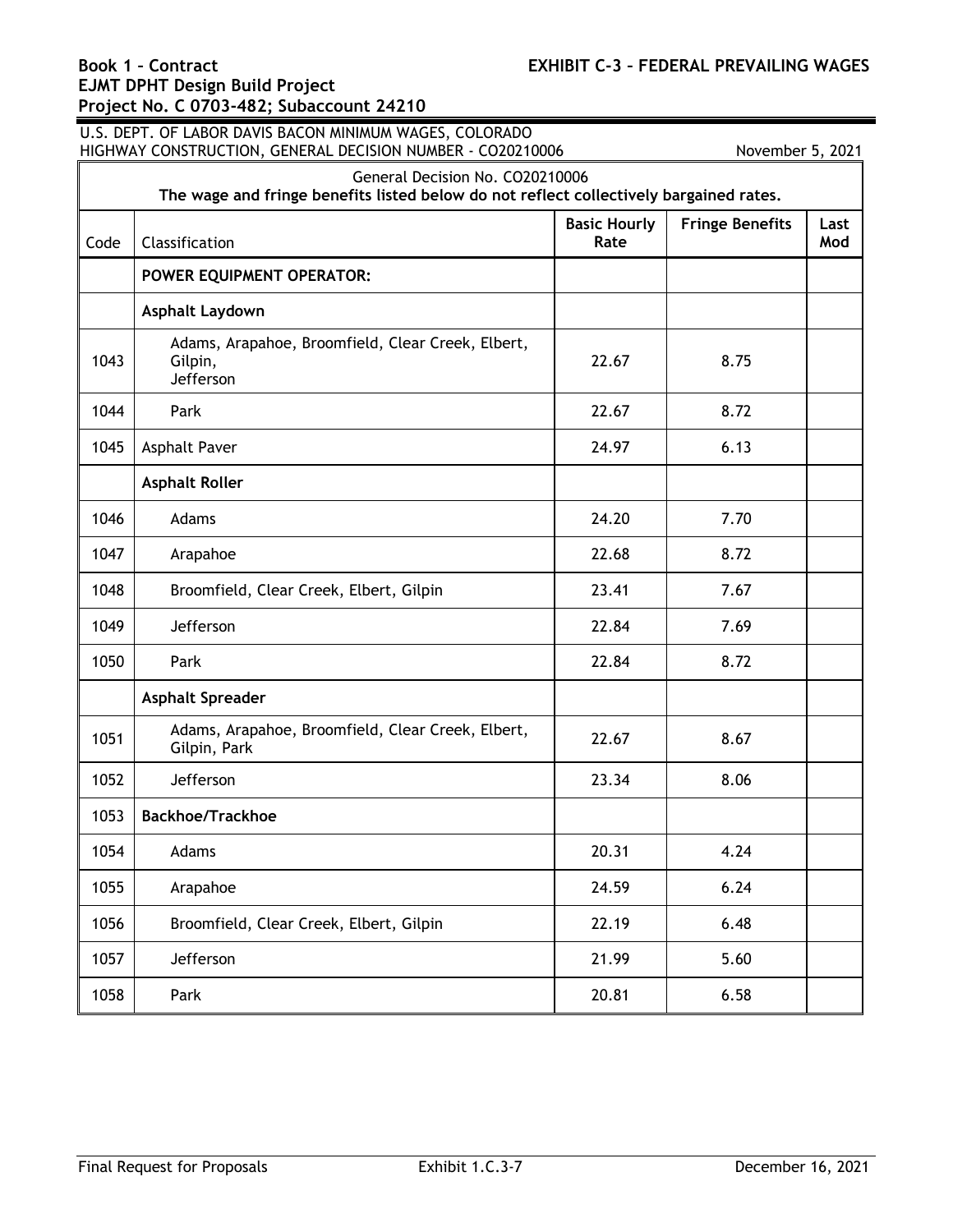U.S. DEPT. OF LABOR DAVIS BACON MINIMUM WAGES, COLORADO HIGHWAY CONSTRUCTION, GENERAL DECISION NUMBER - CO20210006 November 5, 2021

|      | General Decision No. CO20210006<br>The wage and fringe benefits listed below do not reflect collectively bargained rates. |                             |                        |             |
|------|---------------------------------------------------------------------------------------------------------------------------|-----------------------------|------------------------|-------------|
| Code | Classification                                                                                                            | <b>Basic Hourly</b><br>Rate | <b>Fringe Benefits</b> | Last<br>Mod |
|      | POWER EQUIPMENT OPERATOR:                                                                                                 |                             |                        |             |
|      | Asphalt Laydown                                                                                                           |                             |                        |             |
| 1043 | Adams, Arapahoe, Broomfield, Clear Creek, Elbert,<br>Gilpin,<br>Jefferson                                                 | 22.67                       | 8.75                   |             |
| 1044 | Park                                                                                                                      | 22.67                       | 8.72                   |             |
| 1045 | <b>Asphalt Paver</b>                                                                                                      | 24.97                       | 6.13                   |             |
|      | <b>Asphalt Roller</b>                                                                                                     |                             |                        |             |
| 1046 | Adams                                                                                                                     | 24.20                       | 7.70                   |             |
| 1047 | Arapahoe                                                                                                                  | 22.68                       | 8.72                   |             |
| 1048 | Broomfield, Clear Creek, Elbert, Gilpin                                                                                   | 23.41                       | 7.67                   |             |
| 1049 | Jefferson                                                                                                                 | 22.84                       | 7.69                   |             |
| 1050 | Park                                                                                                                      | 22.84                       | 8.72                   |             |
|      | <b>Asphalt Spreader</b>                                                                                                   |                             |                        |             |
| 1051 | Adams, Arapahoe, Broomfield, Clear Creek, Elbert,<br>Gilpin, Park                                                         | 22.67                       | 8.67                   |             |
| 1052 | Jefferson                                                                                                                 | 23.34                       | 8.06                   |             |
| 1053 | <b>Backhoe/Trackhoe</b>                                                                                                   |                             |                        |             |
| 1054 | Adams                                                                                                                     | 20.31                       | 4.24                   |             |
| 1055 | Arapahoe                                                                                                                  | 24.59                       | 6.24                   |             |
| 1056 | Broomfield, Clear Creek, Elbert, Gilpin                                                                                   | 22.19                       | 6.48                   |             |
| 1057 | Jefferson                                                                                                                 | 21.99                       | 5.60                   |             |
| 1058 | Park                                                                                                                      | 20.81                       | 6.58                   |             |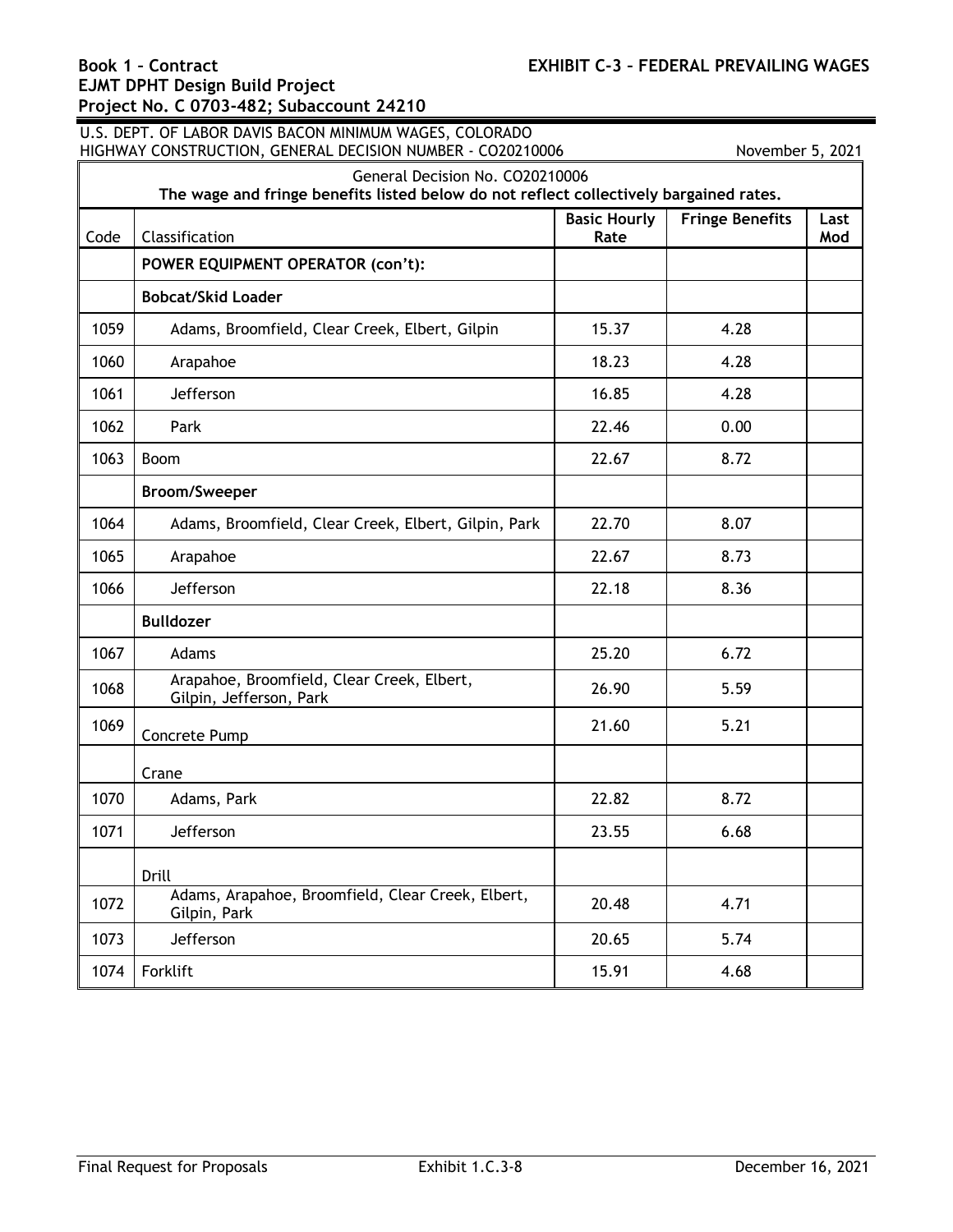U.S. DEPT. OF LABOR DAVIS BACON MINIMUM WAGES, COLORADO HIGHWAY CONSTRUCTION, GENERAL DECISION NUMBER - CO20210006 November 5, 2021

|--|

|      | The wage and fringe benefits listed below do not reflect collectively bargained rates. |                             |                        |             |  |
|------|----------------------------------------------------------------------------------------|-----------------------------|------------------------|-------------|--|
| Code | Classification                                                                         | <b>Basic Hourly</b><br>Rate | <b>Fringe Benefits</b> | Last<br>Mod |  |
|      | POWER EQUIPMENT OPERATOR (con't):                                                      |                             |                        |             |  |
|      | <b>Bobcat/Skid Loader</b>                                                              |                             |                        |             |  |
| 1059 | Adams, Broomfield, Clear Creek, Elbert, Gilpin                                         | 15.37                       | 4.28                   |             |  |
| 1060 | Arapahoe                                                                               | 18.23                       | 4.28                   |             |  |
| 1061 | Jefferson                                                                              | 16.85                       | 4.28                   |             |  |
| 1062 | Park                                                                                   | 22.46                       | 0.00                   |             |  |
| 1063 | <b>Boom</b>                                                                            | 22.67                       | 8.72                   |             |  |
|      | <b>Broom/Sweeper</b>                                                                   |                             |                        |             |  |
| 1064 | Adams, Broomfield, Clear Creek, Elbert, Gilpin, Park                                   | 22.70                       | 8.07                   |             |  |
| 1065 | Arapahoe                                                                               | 22.67                       | 8.73                   |             |  |
| 1066 | Jefferson                                                                              | 22.18                       | 8.36                   |             |  |
|      | <b>Bulldozer</b>                                                                       |                             |                        |             |  |
| 1067 | Adams                                                                                  | 25.20                       | 6.72                   |             |  |
| 1068 | Arapahoe, Broomfield, Clear Creek, Elbert,<br>Gilpin, Jefferson, Park                  | 26.90                       | 5.59                   |             |  |
| 1069 | Concrete Pump                                                                          | 21.60                       | 5.21                   |             |  |
|      | Crane                                                                                  |                             |                        |             |  |
| 1070 | Adams, Park                                                                            | 22.82                       | 8.72                   |             |  |
| 1071 | Jefferson                                                                              | 23.55                       | 6.68                   |             |  |
|      | Drill                                                                                  |                             |                        |             |  |
| 1072 | Adams, Arapahoe, Broomfield, Clear Creek, Elbert,<br>Gilpin, Park                      | 20.48                       | 4.71                   |             |  |
| 1073 | Jefferson                                                                              | 20.65                       | 5.74                   |             |  |
| 1074 | Forklift                                                                               | 15.91                       | 4.68                   |             |  |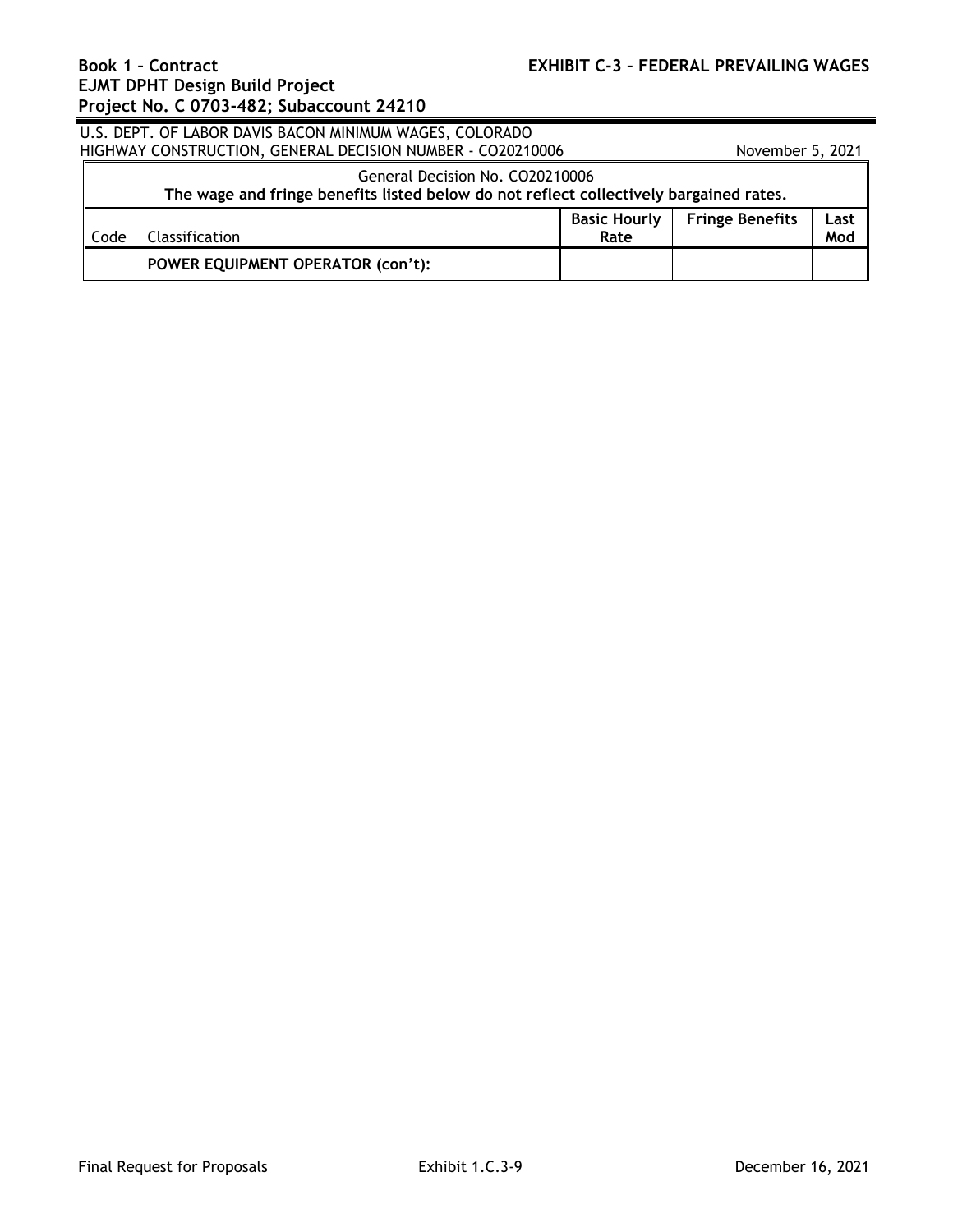|      | U.S. DEPT. OF LABOR DAVIS BACON MINIMUM WAGES, COLORADO                                                                   |                             |                        |             |  |  |
|------|---------------------------------------------------------------------------------------------------------------------------|-----------------------------|------------------------|-------------|--|--|
|      | HIGHWAY CONSTRUCTION, GENERAL DECISION NUMBER - CO20210006                                                                |                             | November 5, 2021       |             |  |  |
|      | General Decision No. CO20210006<br>The wage and fringe benefits listed below do not reflect collectively bargained rates. |                             |                        |             |  |  |
| Code | Classification                                                                                                            | <b>Basic Hourly</b><br>Rate | <b>Fringe Benefits</b> | Last<br>Mod |  |  |
|      | POWER EQUIPMENT OPERATOR (con't):                                                                                         |                             |                        |             |  |  |
|      |                                                                                                                           |                             |                        |             |  |  |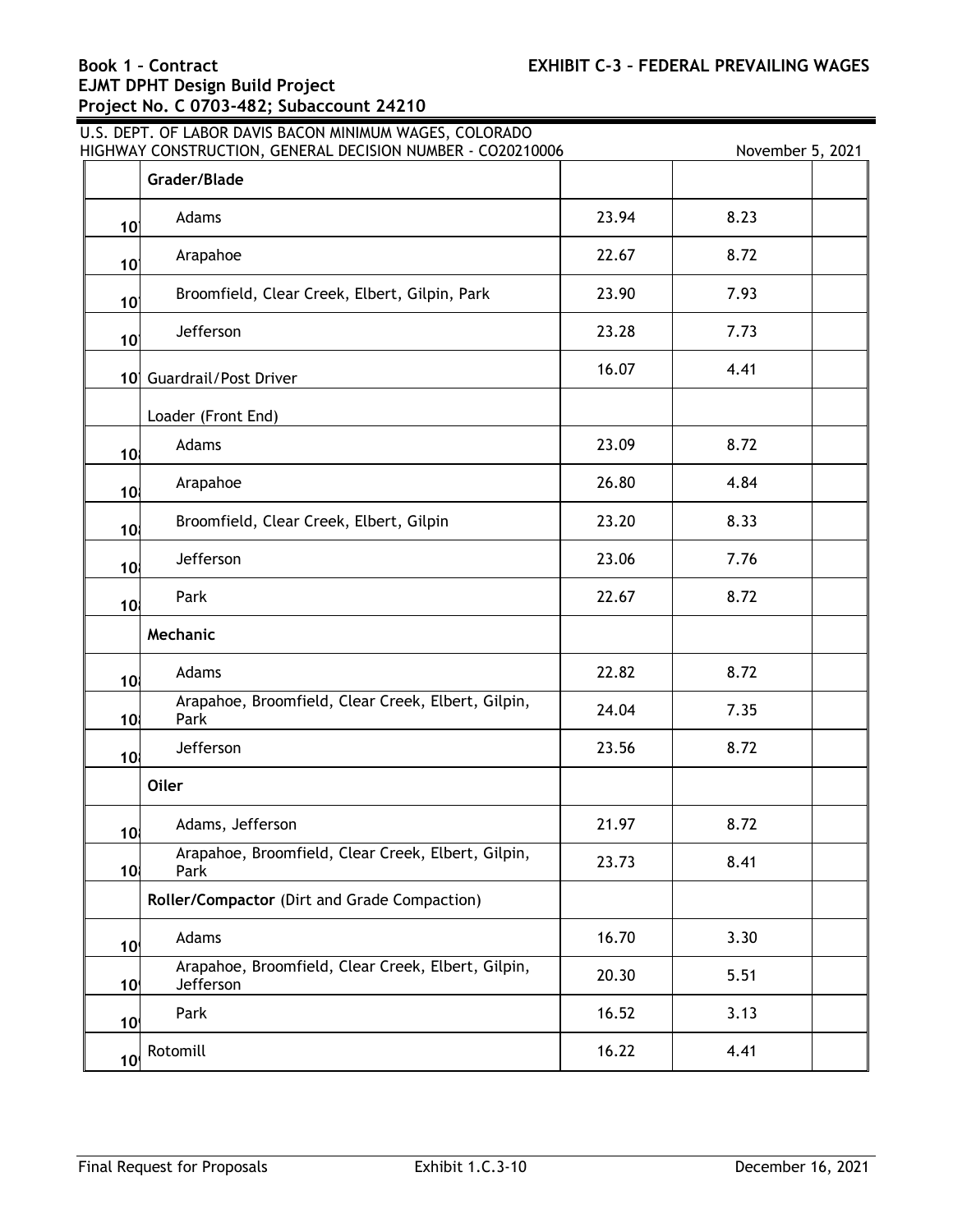#### **EJMT DPHT Design Build Project Project No. C 0703-482; Subaccount 24210** U.S. DEPT. OF LABOR DAVIS BACON MINIMUM WAGES, COLORADO

|                 | U.S. DEPT. OF LADOR DAVIS DACON MINIMUM WAGES, COLORADO<br>HIGHWAY CONSTRUCTION, GENERAL DECISION NUMBER - CO20210006 |       | November 5, 2021 |  |
|-----------------|-----------------------------------------------------------------------------------------------------------------------|-------|------------------|--|
|                 | Grader/Blade                                                                                                          |       |                  |  |
| 10 <sup>1</sup> | Adams                                                                                                                 | 23.94 | 8.23             |  |
| 10 <sup>1</sup> | Arapahoe                                                                                                              | 22.67 | 8.72             |  |
| 10              | Broomfield, Clear Creek, Elbert, Gilpin, Park                                                                         | 23.90 | 7.93             |  |
| 10              | Jefferson                                                                                                             | 23.28 | 7.73             |  |
|                 | 10 Guardrail/Post Driver                                                                                              | 16.07 | 4.41             |  |
|                 | Loader (Front End)                                                                                                    |       |                  |  |
| 10 <sub>1</sub> | Adams                                                                                                                 | 23.09 | 8.72             |  |
| 10 <sub>i</sub> | Arapahoe                                                                                                              | 26.80 | 4.84             |  |
| 10 <sub>i</sub> | Broomfield, Clear Creek, Elbert, Gilpin                                                                               | 23.20 | 8.33             |  |
| 10 <sub>1</sub> | Jefferson                                                                                                             | 23.06 | 7.76             |  |
| 10 <sub>i</sub> | Park                                                                                                                  | 22.67 | 8.72             |  |
|                 | Mechanic                                                                                                              |       |                  |  |
| 10 <sub>i</sub> | Adams                                                                                                                 | 22.82 | 8.72             |  |
| 10 <sub>1</sub> | Arapahoe, Broomfield, Clear Creek, Elbert, Gilpin,<br>Park                                                            | 24.04 | 7.35             |  |
| 10 <sub>i</sub> | Jefferson                                                                                                             | 23.56 | 8.72             |  |
|                 | <b>Oiler</b>                                                                                                          |       |                  |  |
| 10 <sub>i</sub> | Adams, Jefferson                                                                                                      | 21.97 | 8.72             |  |
| 10 <sub>i</sub> | Arapahoe, Broomfield, Clear Creek, Elbert, Gilpin,<br>Park                                                            | 23.73 | 8.41             |  |
|                 | Roller/Compactor (Dirt and Grade Compaction)                                                                          |       |                  |  |
| 10 <sub>1</sub> | Adams                                                                                                                 | 16.70 | 3.30             |  |
| 10 <sub>1</sub> | Arapahoe, Broomfield, Clear Creek, Elbert, Gilpin,<br>Jefferson                                                       | 20.30 | 5.51             |  |
| 10 <sub>1</sub> | Park                                                                                                                  | 16.52 | 3.13             |  |
| 10 <sub>1</sub> | Rotomill                                                                                                              | 16.22 | 4.41             |  |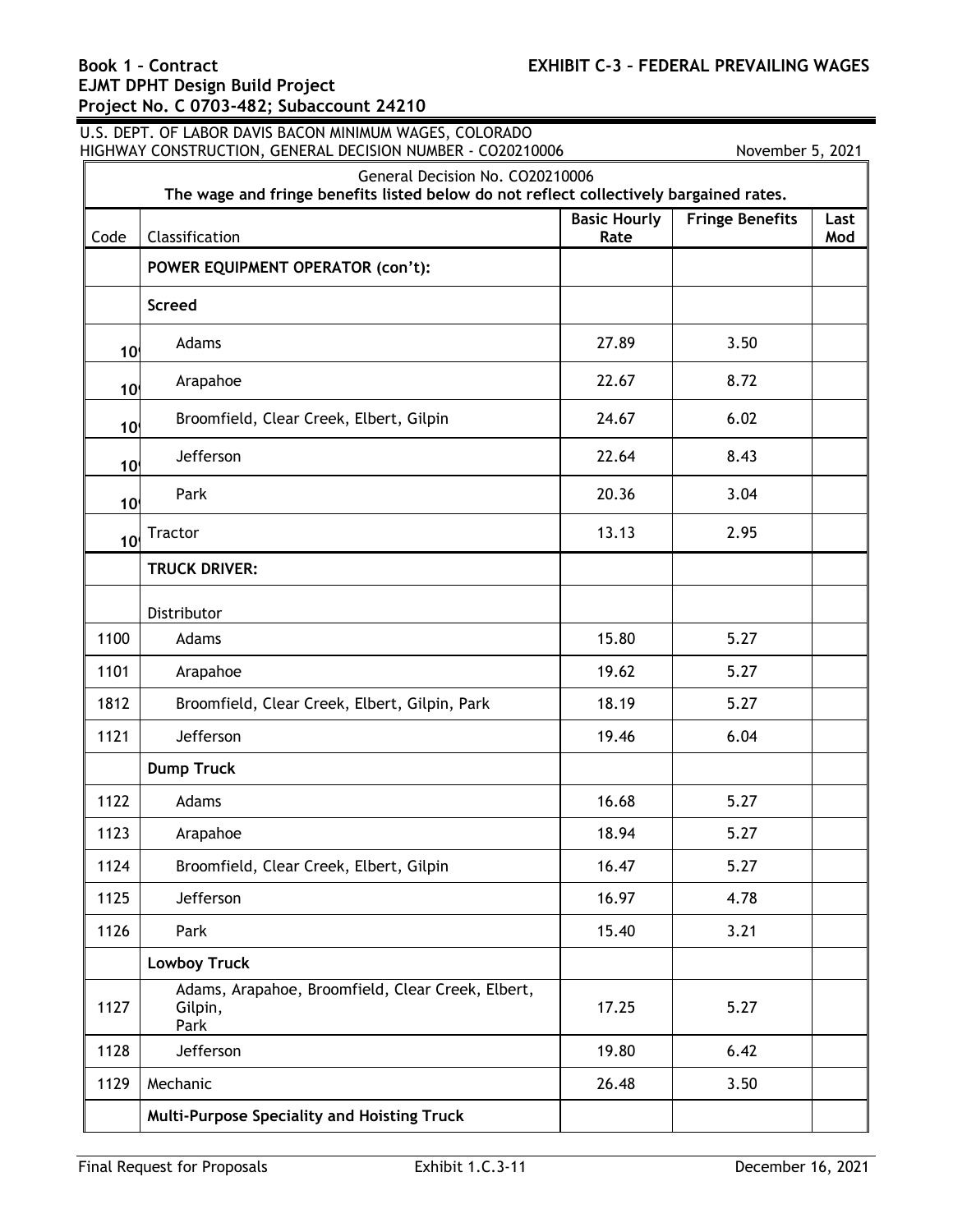# **EJMT DPHT Design Build Project**

**Project No. C 0703-482; Subaccount 24210** U.S. DEPT. OF LABOR DAVIS BACON MINIMUM WAGES, COLORADO HIGHWAY CONSTRUCTION, GENERAL DECISION NUMBER - CO20210006 November 5, 2021 General Decision No. CO20210006 **The wage and fringe benefits listed below do not reflect collectively bargained rates.**  Code | Classification **Basic Hourly Rate Fringe Benefits Last Mod POWER EQUIPMENT OPERATOR (con't): Screed 10** Adams 27.89 3.50 **10** Arapahoe 22.67 8.72 **10** Broomfield, Clear Creek, Elbert, Gilpin 24.67 | 6.02 **10** Jefferson 22.64 8.43 **10** Park 20.36 3.04 **10** Tractor **13.13** 2.95 **TRUCK DRIVER:**  Distributor 1100 Adams 15.80 5.27 1101 | Arapahoe 19.62 | 5.27 | 5.27 | 5.27 | 5.27 | 5.27 | 5.27 | 5.27 | 5.27 | 5.27 | 5.27 | 5.27 | 5.27 | 5.27 1812 Broomfield, Clear Creek, Elbert, Gilpin, Park 18.19 | 5.27 1121 Jefferson 19.46 6.04 **Dump Truck**  1122 Adams 16.68 5.27 1123 | Arapahoe 18.94 | 5.27 | 5.27 | 5.27 | 5.27 | 5.27 | 5.27 | 5.27 | 5.27 | 5.27 | 5.27 | 5.27 | 5.27 | 5.27 1124 Broomfield, Clear Creek, Elbert, Gilpin 16.47 | 5.27 1125 Jefferson 16.97 4.78 1126 Park 15.40 2.21 **Lowboy Truck**  Adams, Arapahoe, Broomfield, Clear Creek, Elbert,

Gilpin, Park

**Multi-Purpose Speciality and Hoisting Truck** 

1127

1128 Jefferson 19.80 6.42

1129 | Mechanic 26.48 | 26.48 | 26.48 | 26.48 | 26.48 | 26.48 | 26.48 | 26.48 | 26.48 | 26.48 | 26.50 | 26.48 | 26.50 | 26.48 | 26.50 | 26.48 | 26.48 | 26.48 | 26.48 | 26.48 | 26.48 | 26.48 | 26.48 | 26.48 | 26.48 | 26.48

17.25 5.27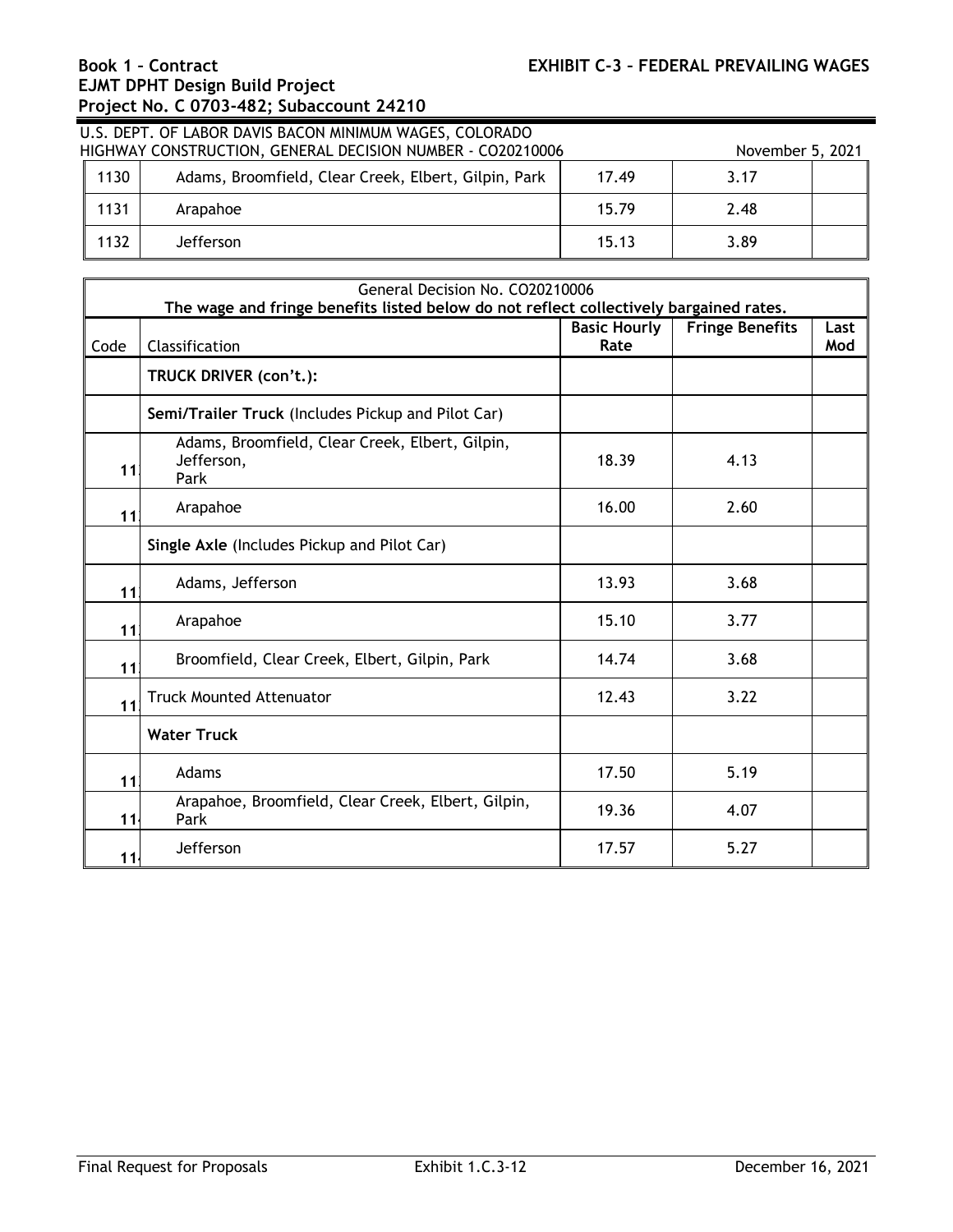|      | U.S. DEPT. OF LABOR DAVIS BACON MINIMUM WAGES, COLORADO<br>HIGHWAY CONSTRUCTION, GENERAL DECISION NUMBER - CO20210006 |       | November 5, 2021 |  |
|------|-----------------------------------------------------------------------------------------------------------------------|-------|------------------|--|
| 1130 | Adams, Broomfield, Clear Creek, Elbert, Gilpin, Park                                                                  | 17.49 | 3.17             |  |
| 1131 | Arapahoe                                                                                                              | 15.79 | 2.48             |  |
| 1132 | <b>Jefferson</b>                                                                                                      | 15.13 | 3.89             |  |

|                 | General Decision No. CO20210006<br>The wage and fringe benefits listed below do not reflect collectively bargained rates. |                             |                        |             |  |
|-----------------|---------------------------------------------------------------------------------------------------------------------------|-----------------------------|------------------------|-------------|--|
| Code            | Classification                                                                                                            | <b>Basic Hourly</b><br>Rate | <b>Fringe Benefits</b> | Last<br>Mod |  |
|                 | TRUCK DRIVER (con't.):                                                                                                    |                             |                        |             |  |
|                 | Semi/Trailer Truck (Includes Pickup and Pilot Car)                                                                        |                             |                        |             |  |
| 11              | Adams, Broomfield, Clear Creek, Elbert, Gilpin,<br>Jefferson,<br>Park                                                     | 18.39                       | 4.13                   |             |  |
| 11              | Arapahoe                                                                                                                  | 16.00                       | 2.60                   |             |  |
|                 | Single Axle (Includes Pickup and Pilot Car)                                                                               |                             |                        |             |  |
| 11              | Adams, Jefferson                                                                                                          | 13.93                       | 3.68                   |             |  |
| 11              | Arapahoe                                                                                                                  | 15.10                       | 3.77                   |             |  |
| 11              | Broomfield, Clear Creek, Elbert, Gilpin, Park                                                                             | 14.74                       | 3.68                   |             |  |
| 11              | <b>Truck Mounted Attenuator</b>                                                                                           | 12.43                       | 3.22                   |             |  |
|                 | <b>Water Truck</b>                                                                                                        |                             |                        |             |  |
| 11              | Adams                                                                                                                     | 17.50                       | 5.19                   |             |  |
| 11 <sub>1</sub> | Arapahoe, Broomfield, Clear Creek, Elbert, Gilpin,<br>Park                                                                | 19.36                       | 4.07                   |             |  |
| 11 <sub>1</sub> | Jefferson                                                                                                                 | 17.57                       | 5.27                   |             |  |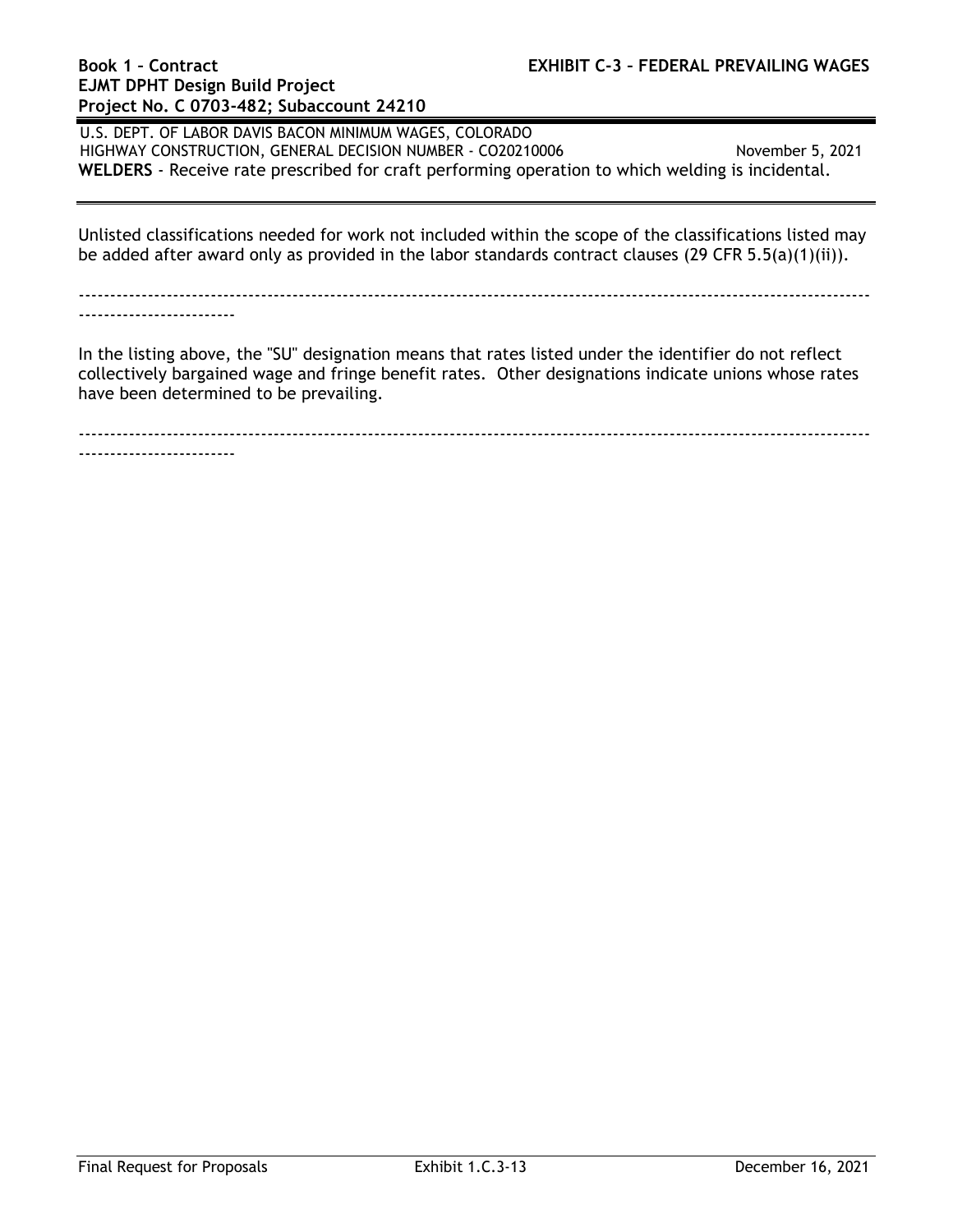U.S. DEPT. OF LABOR DAVIS BACON MINIMUM WAGES, COLORADO HIGHWAY CONSTRUCTION, GENERAL DECISION NUMBER - CO20210006 November 5, 2021 **WELDERS** - Receive rate prescribed for craft performing operation to which welding is incidental.

Unlisted classifications needed for work not included within the scope of the classifications listed may be added after award only as provided in the labor standards contract clauses (29 CFR 5.5(a)(1)(ii)).

------------------------------------------------------------------------------------------------------------------------------ -------------------------

In the listing above, the "SU" designation means that rates listed under the identifier do not reflect collectively bargained wage and fringe benefit rates. Other designations indicate unions whose rates have been determined to be prevailing.

------------------------------------------------------------------------------------------------------------------------------

-------------------------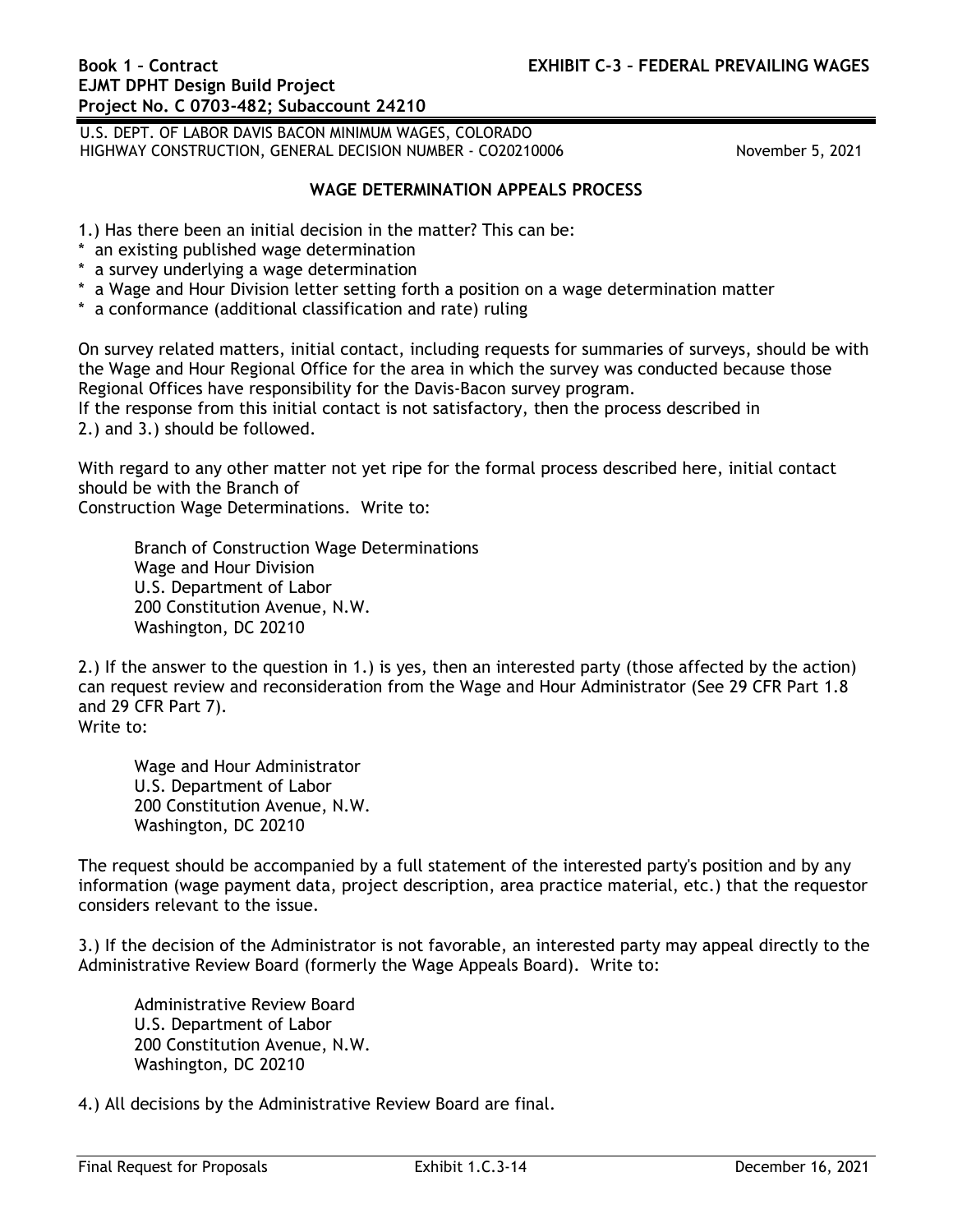#### **Book 1 – Contract EXHIBIT C-3 – FEDERAL PREVAILING WAGES EJMT DPHT Design Build Project Project No. C 0703-482; Subaccount 24210**

U.S. DEPT. OF LABOR DAVIS BACON MINIMUM WAGES, COLORADO HIGHWAY CONSTRUCTION, GENERAL DECISION NUMBER - CO20210006 November 5, 2021

#### **WAGE DETERMINATION APPEALS PROCESS**

- 1.) Has there been an initial decision in the matter? This can be:
- \* an existing published wage determination
- \* a survey underlying a wage determination
- \* a Wage and Hour Division letter setting forth a position on a wage determination matter
- \* a conformance (additional classification and rate) ruling

On survey related matters, initial contact, including requests for summaries of surveys, should be with the Wage and Hour Regional Office for the area in which the survey was conducted because those Regional Offices have responsibility for the Davis-Bacon survey program.

If the response from this initial contact is not satisfactory, then the process described in 2.) and 3.) should be followed.

With regard to any other matter not yet ripe for the formal process described here, initial contact should be with the Branch of

Construction Wage Determinations. Write to:

 Branch of Construction Wage Determinations Wage and Hour Division U.S. Department of Labor 200 Constitution Avenue, N.W. Washington, DC 20210

2.) If the answer to the question in 1.) is yes, then an interested party (those affected by the action) can request review and reconsideration from the Wage and Hour Administrator (See 29 CFR Part 1.8 and 29 CFR Part 7). Write to:

 Wage and Hour Administrator U.S. Department of Labor 200 Constitution Avenue, N.W. Washington, DC 20210

The request should be accompanied by a full statement of the interested party's position and by any information (wage payment data, project description, area practice material, etc.) that the requestor considers relevant to the issue.

3.) If the decision of the Administrator is not favorable, an interested party may appeal directly to the Administrative Review Board (formerly the Wage Appeals Board). Write to:

 Administrative Review Board U.S. Department of Labor 200 Constitution Avenue, N.W. Washington, DC 20210

4.) All decisions by the Administrative Review Board are final.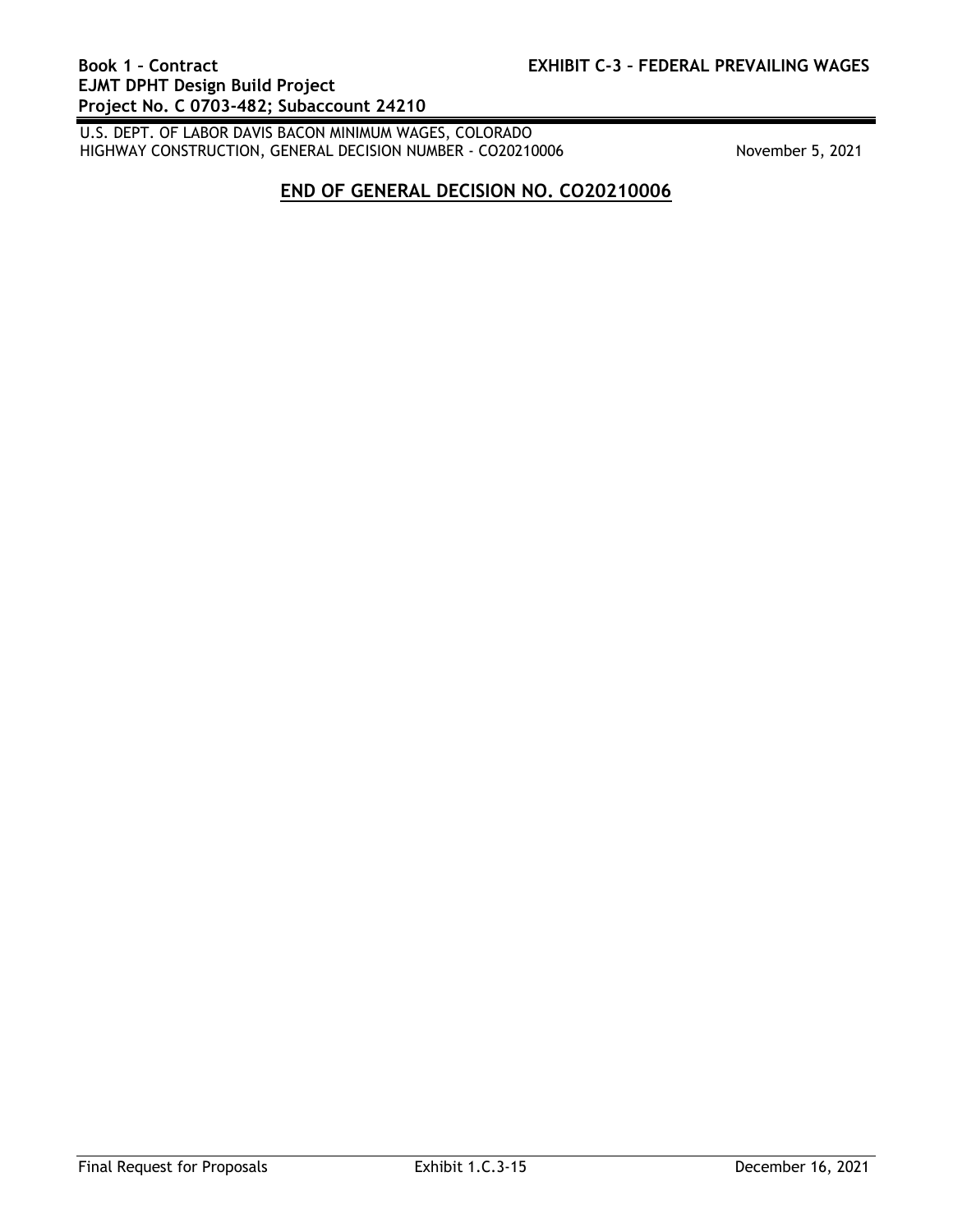U.S. DEPT. OF LABOR DAVIS BACON MINIMUM WAGES, COLORADO HIGHWAY CONSTRUCTION, GENERAL DECISION NUMBER - CO20210006 November 5, 2021

#### **END OF GENERAL DECISION NO. CO20210006**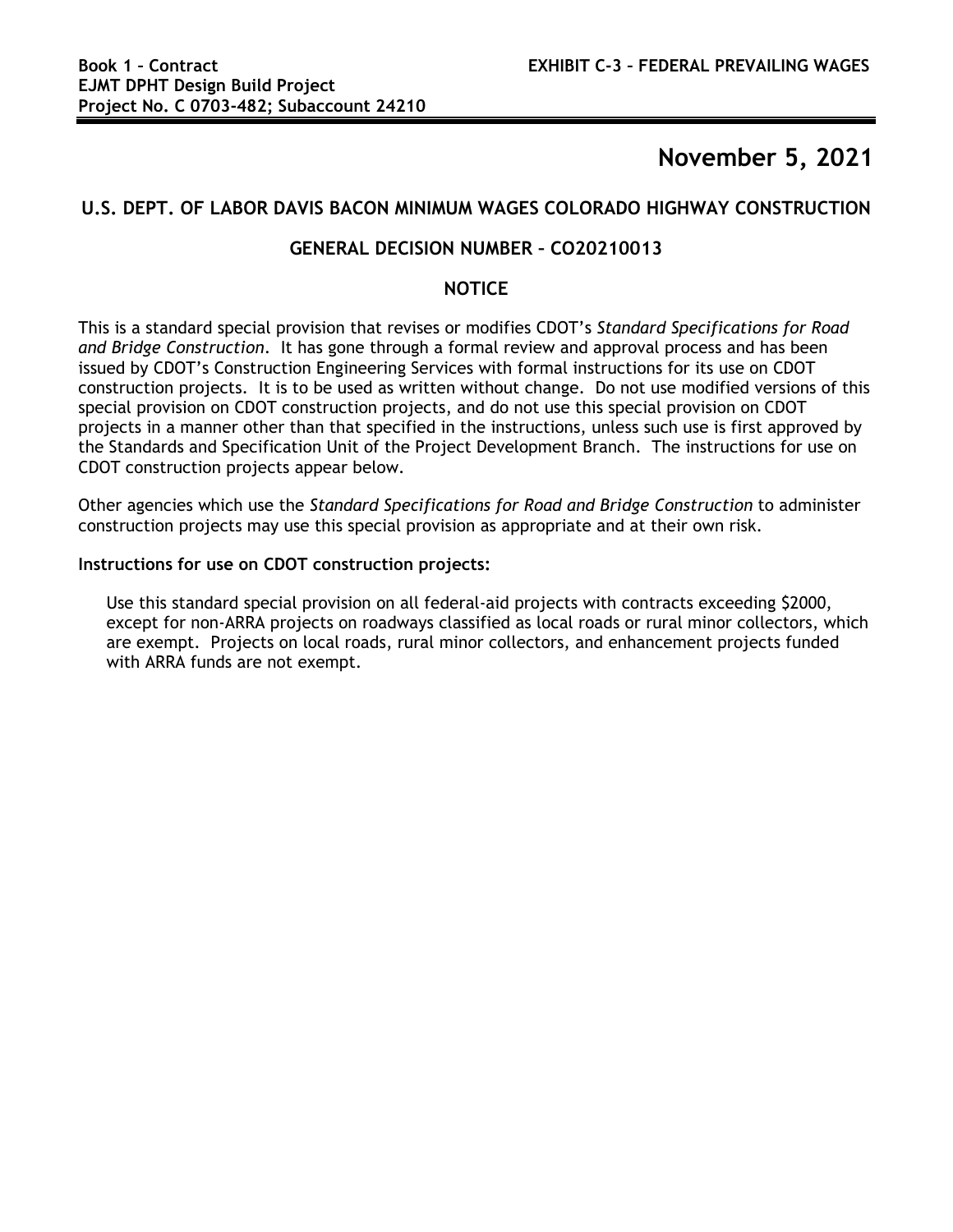#### **November 5, 2021**

#### **U.S. DEPT. OF LABOR DAVIS BACON MINIMUM WAGES COLORADO HIGHWAY CONSTRUCTION**

#### **GENERAL DECISION NUMBER – CO20210013**

#### **NOTICE**

This is a standard special provision that revises or modifies CDOT's *Standard Specifications for Road and Bridge Construction*. It has gone through a formal review and approval process and has been issued by CDOT's Construction Engineering Services with formal instructions for its use on CDOT construction projects. It is to be used as written without change. Do not use modified versions of this special provision on CDOT construction projects, and do not use this special provision on CDOT projects in a manner other than that specified in the instructions, unless such use is first approved by the Standards and Specification Unit of the Project Development Branch. The instructions for use on CDOT construction projects appear below.

Other agencies which use the *Standard Specifications for Road and Bridge Construction* to administer construction projects may use this special provision as appropriate and at their own risk.

#### **Instructions for use on CDOT construction projects:**

Use this standard special provision on all federal-aid projects with contracts exceeding \$2000, except for non-ARRA projects on roadways classified as local roads or rural minor collectors, which are exempt. Projects on local roads, rural minor collectors, and enhancement projects funded with ARRA funds are not exempt.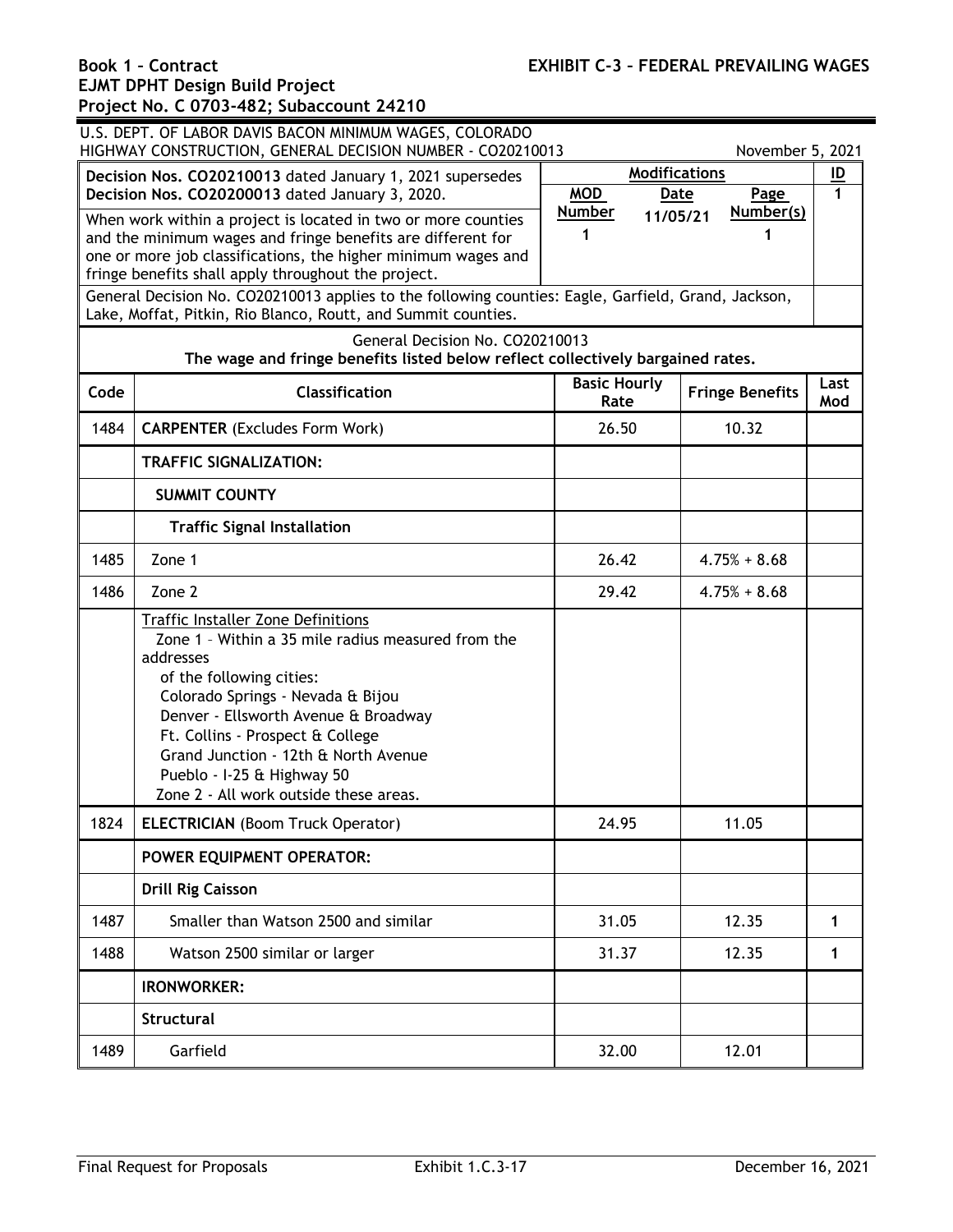| U.S. DEPT. OF LABOR DAVIS BACON MINIMUM WAGES, COLORADO                        |                                                                                                                                                                                                                                                                                                                                                                           |                                                        |                        |             |  |
|--------------------------------------------------------------------------------|---------------------------------------------------------------------------------------------------------------------------------------------------------------------------------------------------------------------------------------------------------------------------------------------------------------------------------------------------------------------------|--------------------------------------------------------|------------------------|-------------|--|
| HIGHWAY CONSTRUCTION, GENERAL DECISION NUMBER - CO20210013<br>November 5, 2021 |                                                                                                                                                                                                                                                                                                                                                                           |                                                        |                        |             |  |
|                                                                                | Decision Nos. CO20210013 dated January 1, 2021 supersedes                                                                                                                                                                                                                                                                                                                 | <b>Modifications</b>                                   |                        | ID          |  |
|                                                                                | Decision Nos. CO20200013 dated January 3, 2020.                                                                                                                                                                                                                                                                                                                           | <b>MOD</b><br><b>Date</b><br><b>Number</b><br>11/05/21 | Page<br>Number(s)      | 1           |  |
|                                                                                | When work within a project is located in two or more counties<br>and the minimum wages and fringe benefits are different for<br>one or more job classifications, the higher minimum wages and<br>fringe benefits shall apply throughout the project.                                                                                                                      | 1                                                      | 1                      |             |  |
|                                                                                | General Decision No. CO20210013 applies to the following counties: Eagle, Garfield, Grand, Jackson,<br>Lake, Moffat, Pitkin, Rio Blanco, Routt, and Summit counties.                                                                                                                                                                                                      |                                                        |                        |             |  |
|                                                                                | General Decision No. CO20210013<br>The wage and fringe benefits listed below reflect collectively bargained rates.                                                                                                                                                                                                                                                        |                                                        |                        |             |  |
| Code                                                                           | <b>Classification</b>                                                                                                                                                                                                                                                                                                                                                     | <b>Basic Hourly</b><br>Rate                            | <b>Fringe Benefits</b> | Last<br>Mod |  |
| 1484                                                                           | <b>CARPENTER (Excludes Form Work)</b>                                                                                                                                                                                                                                                                                                                                     | 26.50                                                  | 10.32                  |             |  |
|                                                                                | <b>TRAFFIC SIGNALIZATION:</b>                                                                                                                                                                                                                                                                                                                                             |                                                        |                        |             |  |
|                                                                                | <b>SUMMIT COUNTY</b>                                                                                                                                                                                                                                                                                                                                                      |                                                        |                        |             |  |
|                                                                                | <b>Traffic Signal Installation</b>                                                                                                                                                                                                                                                                                                                                        |                                                        |                        |             |  |
| 1485                                                                           | Zone 1                                                                                                                                                                                                                                                                                                                                                                    | 26.42                                                  | $4.75% + 8.68$         |             |  |
| 1486                                                                           | Zone 2                                                                                                                                                                                                                                                                                                                                                                    | 29.42                                                  | $4.75% + 8.68$         |             |  |
|                                                                                | <b>Traffic Installer Zone Definitions</b><br>Zone 1 - Within a 35 mile radius measured from the<br>addresses<br>of the following cities:<br>Colorado Springs - Nevada & Bijou<br>Denver - Ellsworth Avenue & Broadway<br>Ft. Collins - Prospect & College<br>Grand Junction - 12th & North Avenue<br>Pueblo - I-25 & Highway 50<br>Zone 2 - All work outside these areas. |                                                        |                        |             |  |
| 1824                                                                           | <b>ELECTRICIAN (Boom Truck Operator)</b>                                                                                                                                                                                                                                                                                                                                  | 24.95                                                  | 11.05                  |             |  |
|                                                                                | POWER EQUIPMENT OPERATOR:                                                                                                                                                                                                                                                                                                                                                 |                                                        |                        |             |  |
|                                                                                | <b>Drill Rig Caisson</b>                                                                                                                                                                                                                                                                                                                                                  |                                                        |                        |             |  |
| 1487                                                                           | Smaller than Watson 2500 and similar                                                                                                                                                                                                                                                                                                                                      | 31.05                                                  | 12.35                  | 1           |  |
| 1488                                                                           | Watson 2500 similar or larger                                                                                                                                                                                                                                                                                                                                             | 31.37                                                  | 12.35                  | 1           |  |
|                                                                                | <b>IRONWORKER:</b>                                                                                                                                                                                                                                                                                                                                                        |                                                        |                        |             |  |
|                                                                                | Structural                                                                                                                                                                                                                                                                                                                                                                |                                                        |                        |             |  |
| 1489                                                                           | Garfield                                                                                                                                                                                                                                                                                                                                                                  | 32.00                                                  | 12.01                  |             |  |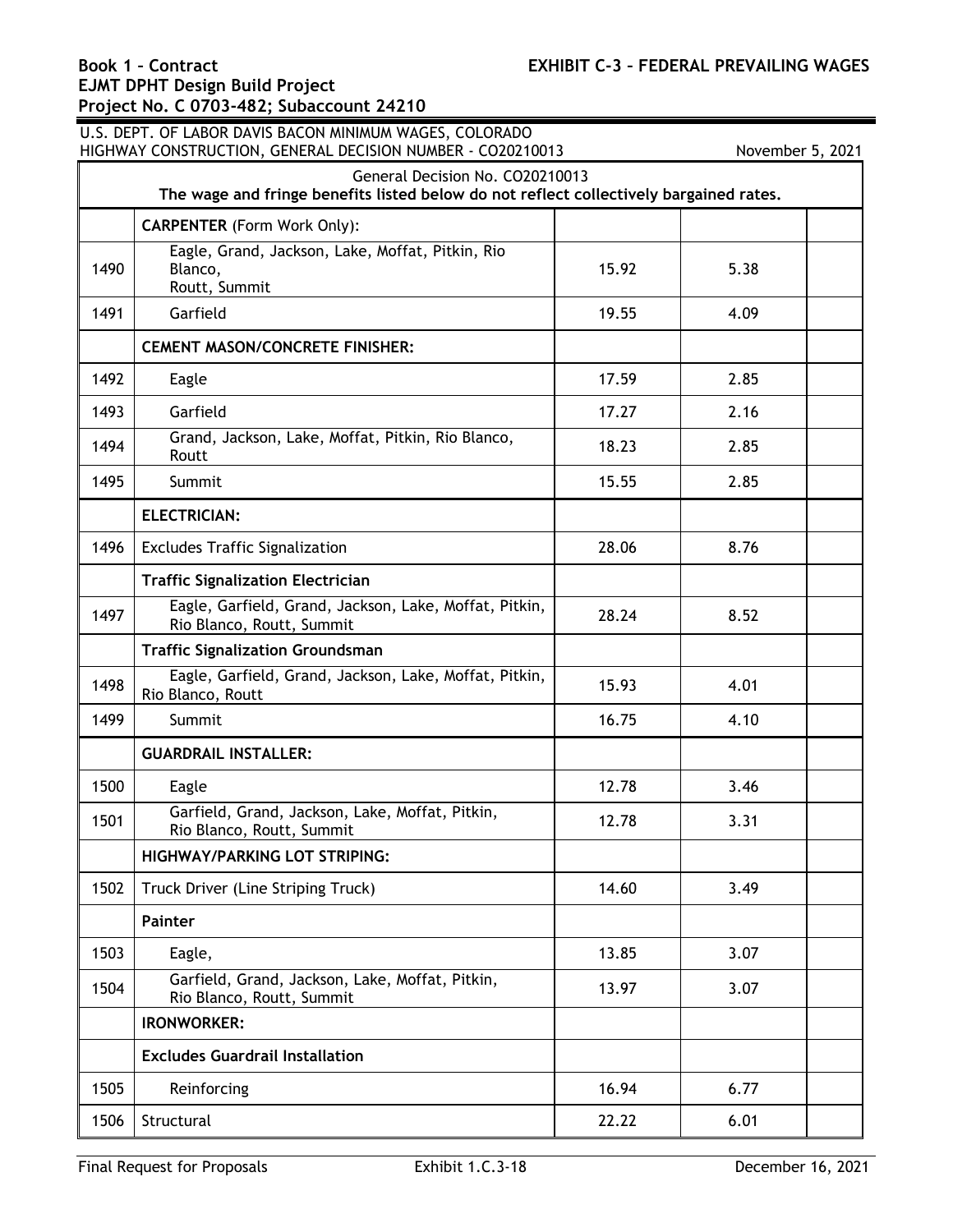|      | U.S. DEPT. OF LABOR DAVIS BACON MINIMUM WAGES, COLORADO<br>HIGHWAY CONSTRUCTION, GENERAL DECISION NUMBER - CO20210013     |       | November 5, 2021 |  |
|------|---------------------------------------------------------------------------------------------------------------------------|-------|------------------|--|
|      | General Decision No. CO20210013<br>The wage and fringe benefits listed below do not reflect collectively bargained rates. |       |                  |  |
|      | <b>CARPENTER (Form Work Only):</b>                                                                                        |       |                  |  |
| 1490 | Eagle, Grand, Jackson, Lake, Moffat, Pitkin, Rio<br>Blanco,<br>Routt, Summit                                              | 15.92 | 5.38             |  |
| 1491 | Garfield                                                                                                                  | 19.55 | 4.09             |  |
|      | <b>CEMENT MASON/CONCRETE FINISHER:</b>                                                                                    |       |                  |  |
| 1492 | Eagle                                                                                                                     | 17.59 | 2.85             |  |
| 1493 | Garfield                                                                                                                  | 17.27 | 2.16             |  |
| 1494 | Grand, Jackson, Lake, Moffat, Pitkin, Rio Blanco,<br>Routt                                                                | 18.23 | 2.85             |  |
| 1495 | Summit                                                                                                                    | 15.55 | 2.85             |  |
|      | <b>ELECTRICIAN:</b>                                                                                                       |       |                  |  |
| 1496 | <b>Excludes Traffic Signalization</b>                                                                                     | 28.06 | 8.76             |  |
|      | <b>Traffic Signalization Electrician</b>                                                                                  |       |                  |  |
| 1497 | Eagle, Garfield, Grand, Jackson, Lake, Moffat, Pitkin,<br>Rio Blanco, Routt, Summit                                       | 28.24 | 8.52             |  |
|      | <b>Traffic Signalization Groundsman</b>                                                                                   |       |                  |  |
| 1498 | Eagle, Garfield, Grand, Jackson, Lake, Moffat, Pitkin,<br>Rio Blanco, Routt                                               | 15.93 | 4.01             |  |
| 1499 | Summit                                                                                                                    | 16.75 | 4.10             |  |
|      | <b>GUARDRAIL INSTALLER:</b>                                                                                               |       |                  |  |
| 1500 | Eagle                                                                                                                     | 12.78 | 3.46             |  |
| 1501 | Garfield, Grand, Jackson, Lake, Moffat, Pitkin<br>Rio Blanco, Routt, Summit                                               | 12.78 | 3.31             |  |
|      | <b>HIGHWAY/PARKING LOT STRIPING:</b>                                                                                      |       |                  |  |
| 1502 | Truck Driver (Line Striping Truck)                                                                                        | 14.60 | 3.49             |  |
|      | Painter                                                                                                                   |       |                  |  |
| 1503 | Eagle,                                                                                                                    | 13.85 | 3.07             |  |
| 1504 | Garfield, Grand, Jackson, Lake, Moffat, Pitkin,<br>Rio Blanco, Routt, Summit                                              | 13.97 | 3.07             |  |
|      | <b>IRONWORKER:</b>                                                                                                        |       |                  |  |
|      | <b>Excludes Guardrail Installation</b>                                                                                    |       |                  |  |
| 1505 | Reinforcing                                                                                                               | 16.94 | 6.77             |  |
| 1506 | Structural                                                                                                                | 22.22 | 6.01             |  |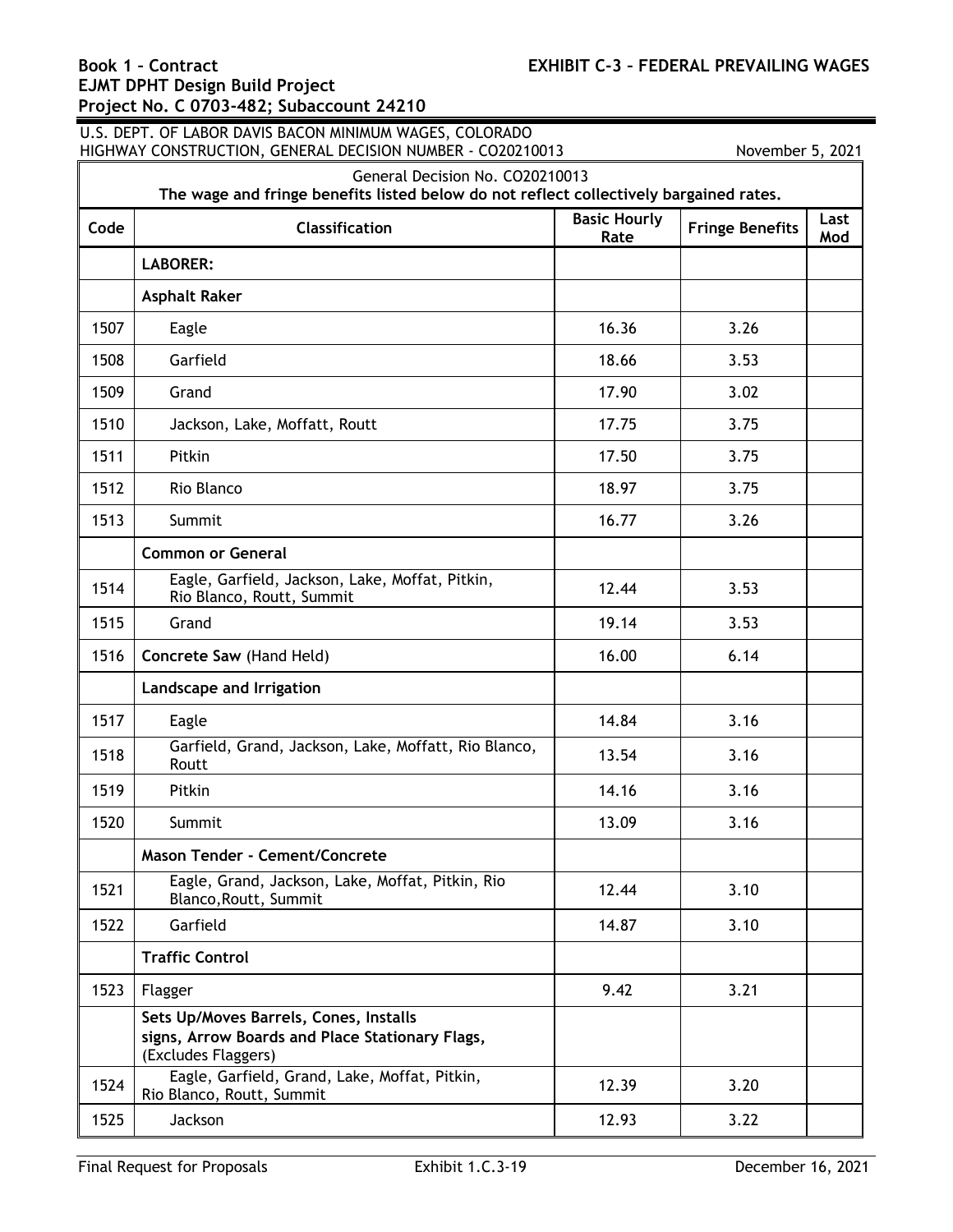|      | U.S. DEPT. OF LABOR DAVIS BACON MINIMUM WAGES, COLORADO<br>HIGHWAY CONSTRUCTION, GENERAL DECISION NUMBER - CO20210013     |                             | November 5, 2021       |             |
|------|---------------------------------------------------------------------------------------------------------------------------|-----------------------------|------------------------|-------------|
|      | General Decision No. CO20210013<br>The wage and fringe benefits listed below do not reflect collectively bargained rates. |                             |                        |             |
| Code | <b>Classification</b>                                                                                                     | <b>Basic Hourly</b><br>Rate | <b>Fringe Benefits</b> | Last<br>Mod |
|      | <b>LABORER:</b>                                                                                                           |                             |                        |             |
|      | <b>Asphalt Raker</b>                                                                                                      |                             |                        |             |
| 1507 | Eagle                                                                                                                     | 16.36                       | 3.26                   |             |
| 1508 | Garfield                                                                                                                  | 18.66                       | 3.53                   |             |
| 1509 | Grand                                                                                                                     | 17.90                       | 3.02                   |             |
| 1510 | Jackson, Lake, Moffatt, Routt                                                                                             | 17.75                       | 3.75                   |             |
| 1511 | Pitkin                                                                                                                    | 17.50                       | 3.75                   |             |
| 1512 | Rio Blanco                                                                                                                | 18.97                       | 3.75                   |             |
| 1513 | Summit                                                                                                                    | 16.77                       | 3.26                   |             |
|      | <b>Common or General</b>                                                                                                  |                             |                        |             |
| 1514 | Eagle, Garfield, Jackson, Lake, Moffat, Pitkin,<br>Rio Blanco, Routt, Summit                                              | 12.44                       | 3.53                   |             |
| 1515 | Grand                                                                                                                     | 19.14                       | 3.53                   |             |
| 1516 | Concrete Saw (Hand Held)                                                                                                  | 16.00                       | 6.14                   |             |
|      | Landscape and Irrigation                                                                                                  |                             |                        |             |
| 1517 | Eagle                                                                                                                     | 14.84                       | 3.16                   |             |
| 1518 | Garfield, Grand, Jackson, Lake, Moffatt, Rio Blanco,<br>Routt                                                             | 13.54                       | 3.16                   |             |
| 1519 | Pitkin                                                                                                                    | 14.16                       | 3.16                   |             |
| 1520 | Summit                                                                                                                    | 13.09                       | 3.16                   |             |
|      | Mason Tender - Cement/Concrete                                                                                            |                             |                        |             |
| 1521 | Eagle, Grand, Jackson, Lake, Moffat, Pitkin, Rio<br>Blanco, Routt, Summit                                                 | 12.44                       | 3.10                   |             |
| 1522 | Garfield                                                                                                                  | 14.87                       | 3.10                   |             |
|      | <b>Traffic Control</b>                                                                                                    |                             |                        |             |
| 1523 | Flagger                                                                                                                   | 9.42                        | 3.21                   |             |
|      | Sets Up/Moves Barrels, Cones, Installs<br>signs, Arrow Boards and Place Stationary Flags,<br>(Excludes Flaggers)          |                             |                        |             |
| 1524 | Eagle, Garfield, Grand, Lake, Moffat, Pitkin,<br>Rio Blanco, Routt, Summit                                                | 12.39                       | 3.20                   |             |

1525 Jackson 12.93 3.22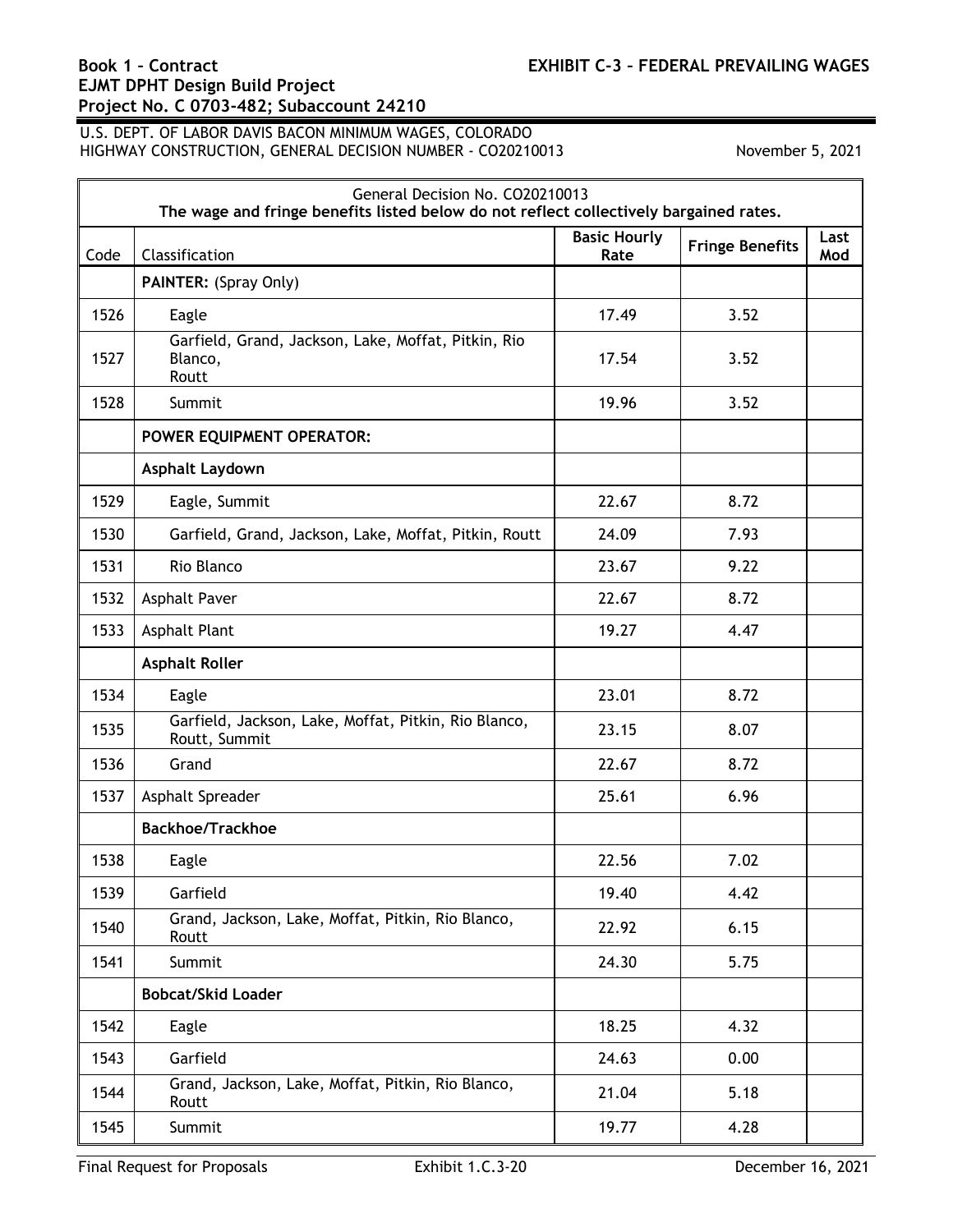U.S. DEPT. OF LABOR DAVIS BACON MINIMUM WAGES, COLORADO HIGHWAY CONSTRUCTION, GENERAL DECISION NUMBER - CO20210013 November 5, 2021

|      | General Decision No. CO20210013<br>The wage and fringe benefits listed below do not reflect collectively bargained rates. |                             |                        |             |  |
|------|---------------------------------------------------------------------------------------------------------------------------|-----------------------------|------------------------|-------------|--|
| Code | Classification                                                                                                            | <b>Basic Hourly</b><br>Rate | <b>Fringe Benefits</b> | Last<br>Mod |  |
|      | PAINTER: (Spray Only)                                                                                                     |                             |                        |             |  |
| 1526 | Eagle                                                                                                                     | 17.49                       | 3.52                   |             |  |
| 1527 | Garfield, Grand, Jackson, Lake, Moffat, Pitkin, Rio<br>Blanco,<br>Routt                                                   | 17.54                       | 3.52                   |             |  |
| 1528 | Summit                                                                                                                    | 19.96                       | 3.52                   |             |  |
|      | POWER EQUIPMENT OPERATOR:                                                                                                 |                             |                        |             |  |
|      | Asphalt Laydown                                                                                                           |                             |                        |             |  |
| 1529 | Eagle, Summit                                                                                                             | 22.67                       | 8.72                   |             |  |
| 1530 | Garfield, Grand, Jackson, Lake, Moffat, Pitkin, Routt                                                                     | 24.09                       | 7.93                   |             |  |
| 1531 | Rio Blanco                                                                                                                | 23.67                       | 9.22                   |             |  |
| 1532 | <b>Asphalt Paver</b>                                                                                                      | 22.67                       | 8.72                   |             |  |
| 1533 | Asphalt Plant                                                                                                             | 19.27                       | 4.47                   |             |  |
|      | <b>Asphalt Roller</b>                                                                                                     |                             |                        |             |  |
| 1534 | Eagle                                                                                                                     | 23.01                       | 8.72                   |             |  |
| 1535 | Garfield, Jackson, Lake, Moffat, Pitkin, Rio Blanco,<br>Routt, Summit                                                     | 23.15                       | 8.07                   |             |  |
| 1536 | Grand                                                                                                                     | 22.67                       | 8.72                   |             |  |
| 1537 | Asphalt Spreader                                                                                                          | 25.61                       | 6.96                   |             |  |
|      | <b>Backhoe/Trackhoe</b>                                                                                                   |                             |                        |             |  |
| 1538 | Eagle                                                                                                                     | 22.56                       | 7.02                   |             |  |
| 1539 | Garfield                                                                                                                  | 19.40                       | 4.42                   |             |  |
| 1540 | Grand, Jackson, Lake, Moffat, Pitkin, Rio Blanco,<br>Routt                                                                | 22.92                       | 6.15                   |             |  |
| 1541 | Summit                                                                                                                    | 24.30                       | 5.75                   |             |  |
|      | <b>Bobcat/Skid Loader</b>                                                                                                 |                             |                        |             |  |
| 1542 | Eagle                                                                                                                     | 18.25                       | 4.32                   |             |  |
| 1543 | Garfield                                                                                                                  | 24.63                       | 0.00                   |             |  |
| 1544 | Grand, Jackson, Lake, Moffat, Pitkin, Rio Blanco,<br>Routt                                                                | 21.04                       | 5.18                   |             |  |
| 1545 | Summit                                                                                                                    | 19.77                       | 4.28                   |             |  |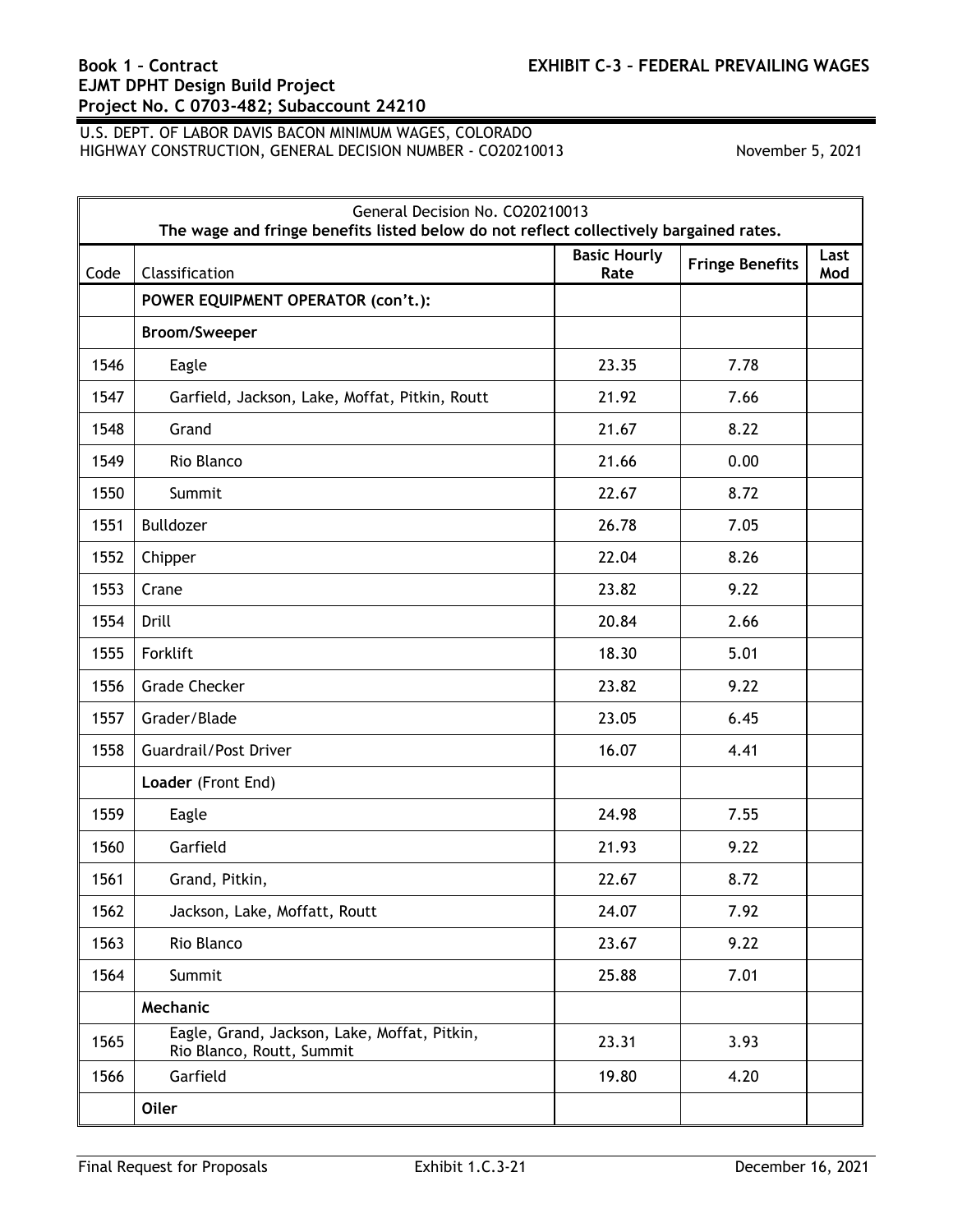r

U.S. DEPT. OF LABOR DAVIS BACON MINIMUM WAGES, COLORADO HIGHWAY CONSTRUCTION, GENERAL DECISION NUMBER - CO20210013 November 5, 2021

|      | General Decision No. CO20210013<br>The wage and fringe benefits listed below do not reflect collectively bargained rates. |                             |                        |             |  |
|------|---------------------------------------------------------------------------------------------------------------------------|-----------------------------|------------------------|-------------|--|
| Code | Classification                                                                                                            | <b>Basic Hourly</b><br>Rate | <b>Fringe Benefits</b> | Last<br>Mod |  |
|      | POWER EQUIPMENT OPERATOR (con't.):                                                                                        |                             |                        |             |  |
|      | <b>Broom/Sweeper</b>                                                                                                      |                             |                        |             |  |
| 1546 | Eagle                                                                                                                     | 23.35                       | 7.78                   |             |  |
| 1547 | Garfield, Jackson, Lake, Moffat, Pitkin, Routt                                                                            | 21.92                       | 7.66                   |             |  |
| 1548 | Grand                                                                                                                     | 21.67                       | 8.22                   |             |  |
| 1549 | Rio Blanco                                                                                                                | 21.66                       | 0.00                   |             |  |
| 1550 | Summit                                                                                                                    | 22.67                       | 8.72                   |             |  |
| 1551 | Bulldozer                                                                                                                 | 26.78                       | 7.05                   |             |  |
| 1552 | Chipper                                                                                                                   | 22.04                       | 8.26                   |             |  |
| 1553 | Crane                                                                                                                     | 23.82                       | 9.22                   |             |  |
| 1554 | Drill                                                                                                                     | 20.84                       | 2.66                   |             |  |
| 1555 | Forklift                                                                                                                  | 18.30                       | 5.01                   |             |  |
| 1556 | <b>Grade Checker</b>                                                                                                      | 23.82                       | 9.22                   |             |  |
| 1557 | Grader/Blade                                                                                                              | 23.05                       | 6.45                   |             |  |
| 1558 | Guardrail/Post Driver                                                                                                     | 16.07                       | 4.41                   |             |  |
|      | Loader (Front End)                                                                                                        |                             |                        |             |  |
| 1559 | Eagle                                                                                                                     | 24.98                       | 7.55                   |             |  |
| 1560 | Garfield                                                                                                                  | 21.93                       | 9.22                   |             |  |
| 1561 | Grand, Pitkin,                                                                                                            | 22.67                       | 8.72                   |             |  |
| 1562 | Jackson, Lake, Moffatt, Routt                                                                                             | 24.07                       | 7.92                   |             |  |
| 1563 | Rio Blanco                                                                                                                | 23.67                       | 9.22                   |             |  |
| 1564 | Summit                                                                                                                    | 25.88                       | 7.01                   |             |  |
|      | Mechanic                                                                                                                  |                             |                        |             |  |
| 1565 | Eagle, Grand, Jackson, Lake, Moffat, Pitkin,<br>Rio Blanco, Routt, Summit                                                 | 23.31                       | 3.93                   |             |  |
| 1566 | Garfield                                                                                                                  | 19.80                       | 4.20                   |             |  |
|      | <b>Oiler</b>                                                                                                              |                             |                        |             |  |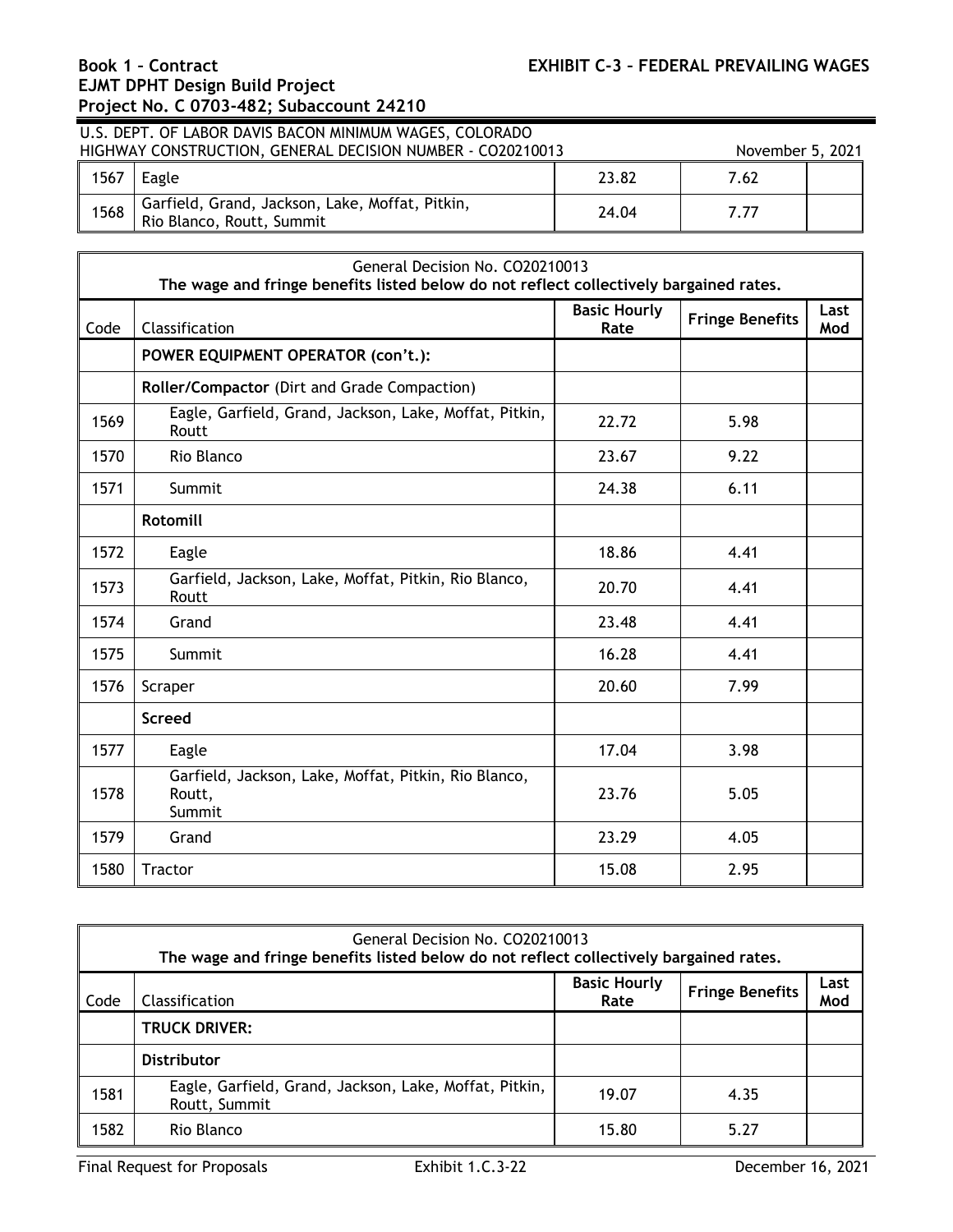|      | U.S. DEPT. OF LABOR DAVIS BACON MINIMUM WAGES, COLORADO                      |       |                  |  |
|------|------------------------------------------------------------------------------|-------|------------------|--|
|      | HIGHWAY CONSTRUCTION, GENERAL DECISION NUMBER - CO20210013                   |       | November 5, 2021 |  |
| 1567 | Eagle                                                                        | 23.82 | 7.62             |  |
| 1568 | Garfield, Grand, Jackson, Lake, Moffat, Pitkin,<br>Rio Blanco, Routt, Summit | 24.04 | 7.77             |  |

|      | General Decision No. CO20210013<br>The wage and fringe benefits listed below do not reflect collectively bargained rates. |                             |                        |             |  |
|------|---------------------------------------------------------------------------------------------------------------------------|-----------------------------|------------------------|-------------|--|
| Code | Classification                                                                                                            | <b>Basic Hourly</b><br>Rate | <b>Fringe Benefits</b> | Last<br>Mod |  |
|      | POWER EQUIPMENT OPERATOR (con't.):                                                                                        |                             |                        |             |  |
|      | Roller/Compactor (Dirt and Grade Compaction)                                                                              |                             |                        |             |  |
| 1569 | Eagle, Garfield, Grand, Jackson, Lake, Moffat, Pitkin,<br>Routt                                                           | 22.72                       | 5.98                   |             |  |
| 1570 | Rio Blanco                                                                                                                | 23.67                       | 9.22                   |             |  |
| 1571 | Summit                                                                                                                    | 24.38                       | 6.11                   |             |  |
|      | Rotomill                                                                                                                  |                             |                        |             |  |
| 1572 | Eagle                                                                                                                     | 18.86                       | 4.41                   |             |  |
| 1573 | Garfield, Jackson, Lake, Moffat, Pitkin, Rio Blanco,<br>Routt                                                             | 20.70                       | 4.41                   |             |  |
| 1574 | Grand                                                                                                                     | 23.48                       | 4.41                   |             |  |
| 1575 | Summit                                                                                                                    | 16.28                       | 4.41                   |             |  |
| 1576 | Scraper                                                                                                                   | 20.60                       | 7.99                   |             |  |
|      | <b>Screed</b>                                                                                                             |                             |                        |             |  |
| 1577 | Eagle                                                                                                                     | 17.04                       | 3.98                   |             |  |
| 1578 | Garfield, Jackson, Lake, Moffat, Pitkin, Rio Blanco,<br>Routt,<br>Summit                                                  | 23.76                       | 5.05                   |             |  |
| 1579 | Grand                                                                                                                     | 23.29                       | 4.05                   |             |  |
| 1580 | <b>Tractor</b>                                                                                                            | 15.08                       | 2.95                   |             |  |

|      | General Decision No. CO20210013<br>The wage and fringe benefits listed below do not reflect collectively bargained rates. |                             |                        |             |
|------|---------------------------------------------------------------------------------------------------------------------------|-----------------------------|------------------------|-------------|
| Code | Classification                                                                                                            | <b>Basic Hourly</b><br>Rate | <b>Fringe Benefits</b> | Last<br>Mod |
|      | <b>TRUCK DRIVER:</b>                                                                                                      |                             |                        |             |
|      | <b>Distributor</b>                                                                                                        |                             |                        |             |
| 1581 | Eagle, Garfield, Grand, Jackson, Lake, Moffat, Pitkin,<br>Routt, Summit                                                   | 19.07                       | 4.35                   |             |
| 1582 | Rio Blanco                                                                                                                | 15.80                       | 5.27                   |             |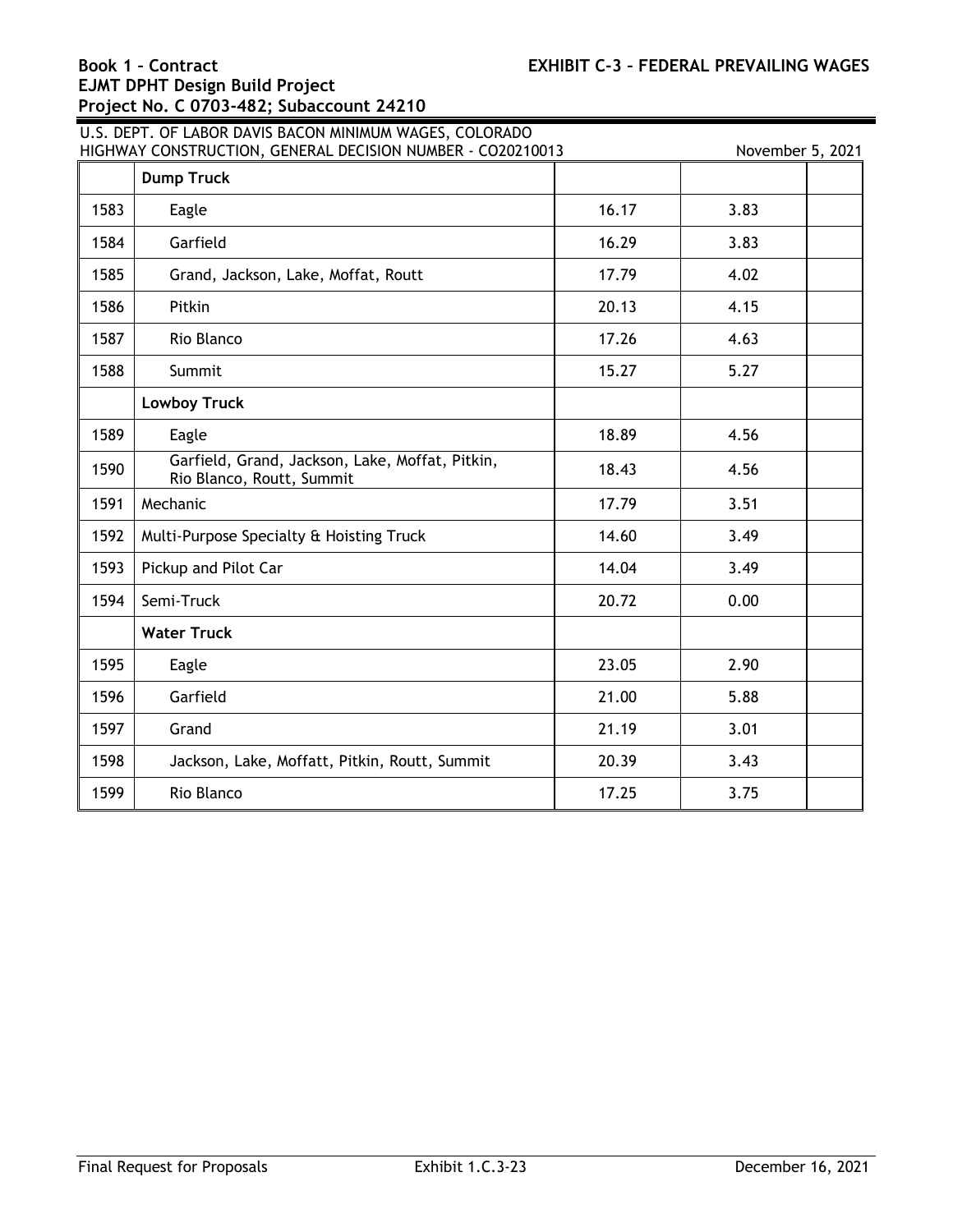#### **Book 1 - Contract CONTERNATION CONTROLLING WAGES EJMT DPHT Design Build Project Project No. C 0703-482; Subaccount 24210**

### U.S. DEPT. OF LABOR DAVIS BACON MINIMUM WAGES, COLORADO HIGHWAY CONSTRUCTION, GENERAL DECISION NUMBER - CO20210013 November 5, 2021 **Dump Truck**  1583 | Eagle 16.17 | 3.83 1584 Garfield 16.29 3.83 1585 Grand, Jackson, Lake, Moffat, Routt 17.79 | 4.02 1586 Pitkin 20.13 4.15 1587 Rio Blanco 17.26 4.63 1588 Summit 1588 Summit 15.27 Summit 15.27 Summit 15.27 Summit 15.27 Summit 15.27 Summit 15.27 Summit 15.27 Su **Lowboy Truck**  1589 Eagle 18.89 4.56 1590 Garfield, Grand, Jackson, Lake, Moffat, Pitkin, Narrieta, Grand, Jackson, Lake, Morrat, Fitkin, 18.43 (a. 18.456)<br>Rio Blanco, Routt, Summit 1591 Mechanic 17.79 3.51 1592 | Multi-Purpose Specialty & Hoisting Truck 14.60 | 14.60 3.49 1593 Pickup and Pilot Car 14.04 14.04 3.49 1594 Semi-Truck 20.72 0.00 **Water Truck**  1595 | Eagle 2.90 | 23.05 | 2.90 1596 Garfield 21.00 5.88 1597 Grand 21.19 Superintendent Studies (1997 September 21.19  $\vert$  3.01  $\vert$ 1598 Jackson, Lake, Moffatt, Pitkin, Routt, Summit 1598 20.39 June 3.43 1599 Rio Blanco 17.25 3.75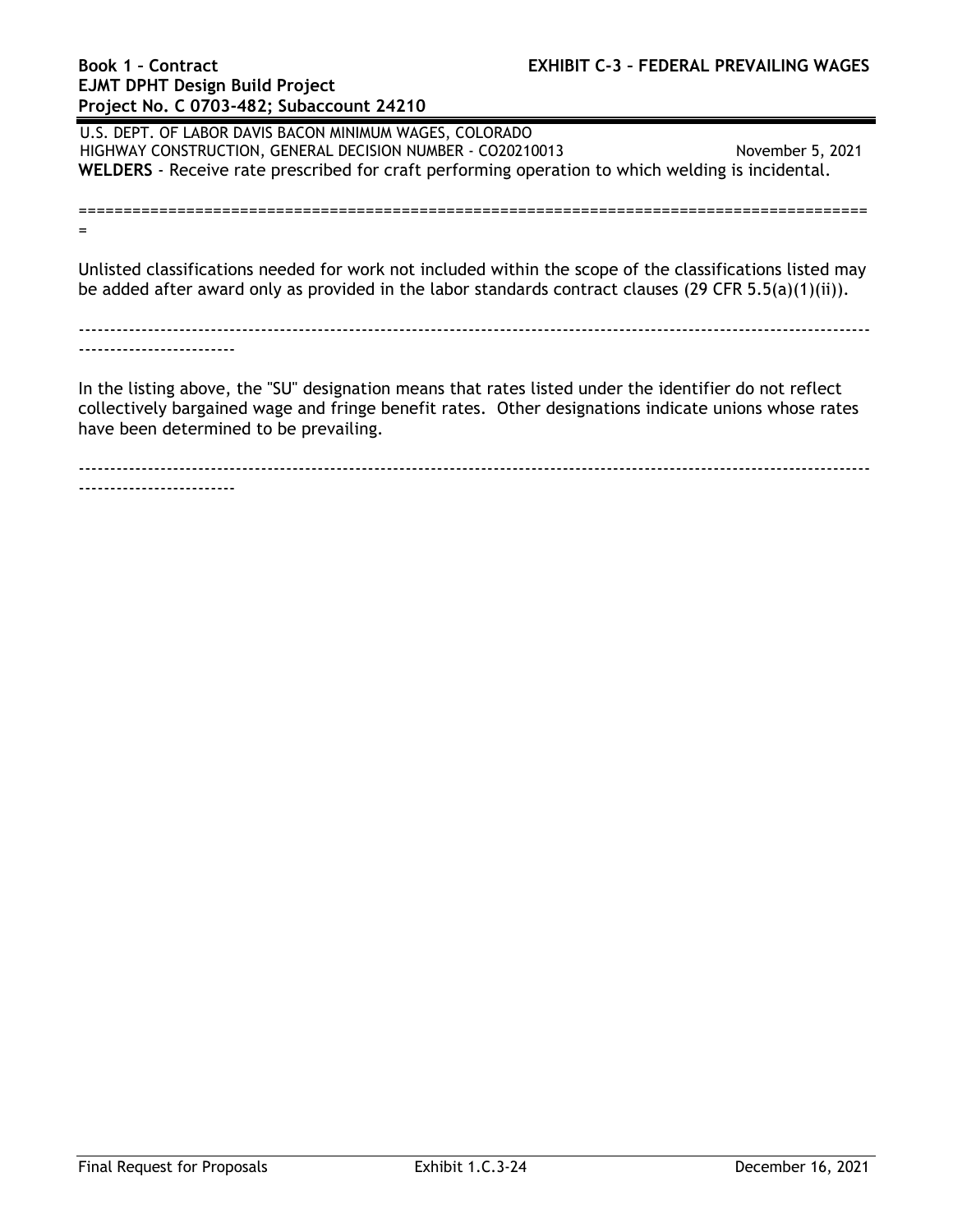U.S. DEPT. OF LABOR DAVIS BACON MINIMUM WAGES, COLORADO HIGHWAY CONSTRUCTION, GENERAL DECISION NUMBER - CO20210013 November 5, 2021 **WELDERS** - Receive rate prescribed for craft performing operation to which welding is incidental.

======================================================================================== =

Unlisted classifications needed for work not included within the scope of the classifications listed may be added after award only as provided in the labor standards contract clauses (29 CFR 5.5(a)(1)(ii)).

------------------------------------------------------------------------------------------------------------------------------ -------------------------

In the listing above, the "SU" designation means that rates listed under the identifier do not reflect collectively bargained wage and fringe benefit rates. Other designations indicate unions whose rates have been determined to be prevailing.

------------------------------------------------------------------------------------------------------------------------------ -------------------------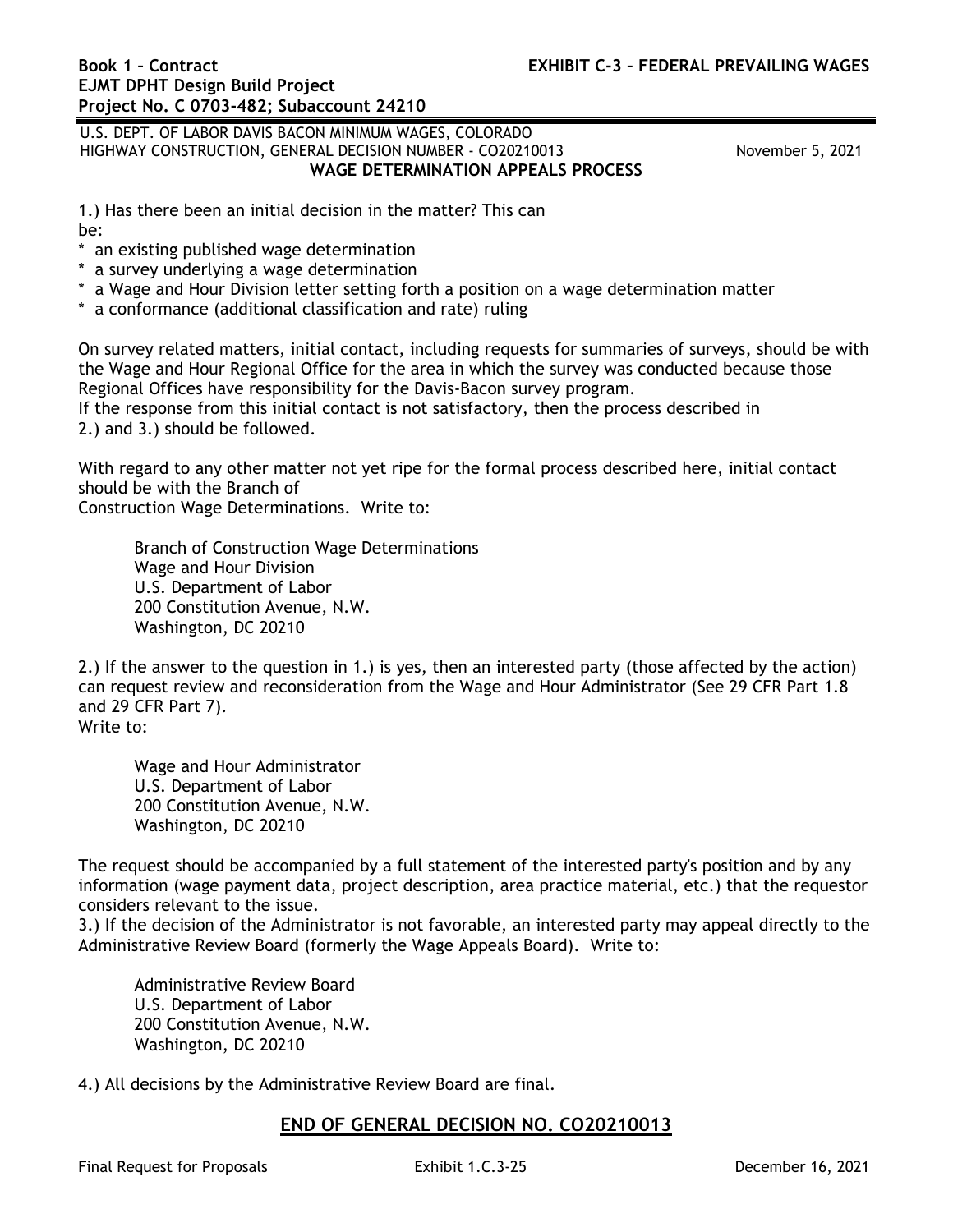#### **Book 1 – Contract EXHIBIT C-3 – FEDERAL PREVAILING WAGES EJMT DPHT Design Build Project Project No. C 0703-482; Subaccount 24210**

#### U.S. DEPT. OF LABOR DAVIS BACON MINIMUM WAGES, COLORADO HIGHWAY CONSTRUCTION, GENERAL DECISION NUMBER - CO20210013 November 5, 2021 **WAGE DETERMINATION APPEALS PROCESS**

1.) Has there been an initial decision in the matter? This can be:

- \* an existing published wage determination
- \* a survey underlying a wage determination
- \* a Wage and Hour Division letter setting forth a position on a wage determination matter
- \* a conformance (additional classification and rate) ruling

On survey related matters, initial contact, including requests for summaries of surveys, should be with the Wage and Hour Regional Office for the area in which the survey was conducted because those Regional Offices have responsibility for the Davis-Bacon survey program.

If the response from this initial contact is not satisfactory, then the process described in 2.) and 3.) should be followed.

With regard to any other matter not yet ripe for the formal process described here, initial contact should be with the Branch of

Construction Wage Determinations. Write to:

 Branch of Construction Wage Determinations Wage and Hour Division U.S. Department of Labor 200 Constitution Avenue, N.W. Washington, DC 20210

2.) If the answer to the question in 1.) is yes, then an interested party (those affected by the action) can request review and reconsideration from the Wage and Hour Administrator (See 29 CFR Part 1.8 and 29 CFR Part 7). Write to:

 Wage and Hour Administrator U.S. Department of Labor 200 Constitution Avenue, N.W. Washington, DC 20210

The request should be accompanied by a full statement of the interested party's position and by any information (wage payment data, project description, area practice material, etc.) that the requestor considers relevant to the issue.

3.) If the decision of the Administrator is not favorable, an interested party may appeal directly to the Administrative Review Board (formerly the Wage Appeals Board). Write to:

 Administrative Review Board U.S. Department of Labor 200 Constitution Avenue, N.W. Washington, DC 20210

4.) All decisions by the Administrative Review Board are final.

#### **END OF GENERAL DECISION NO. CO20210013**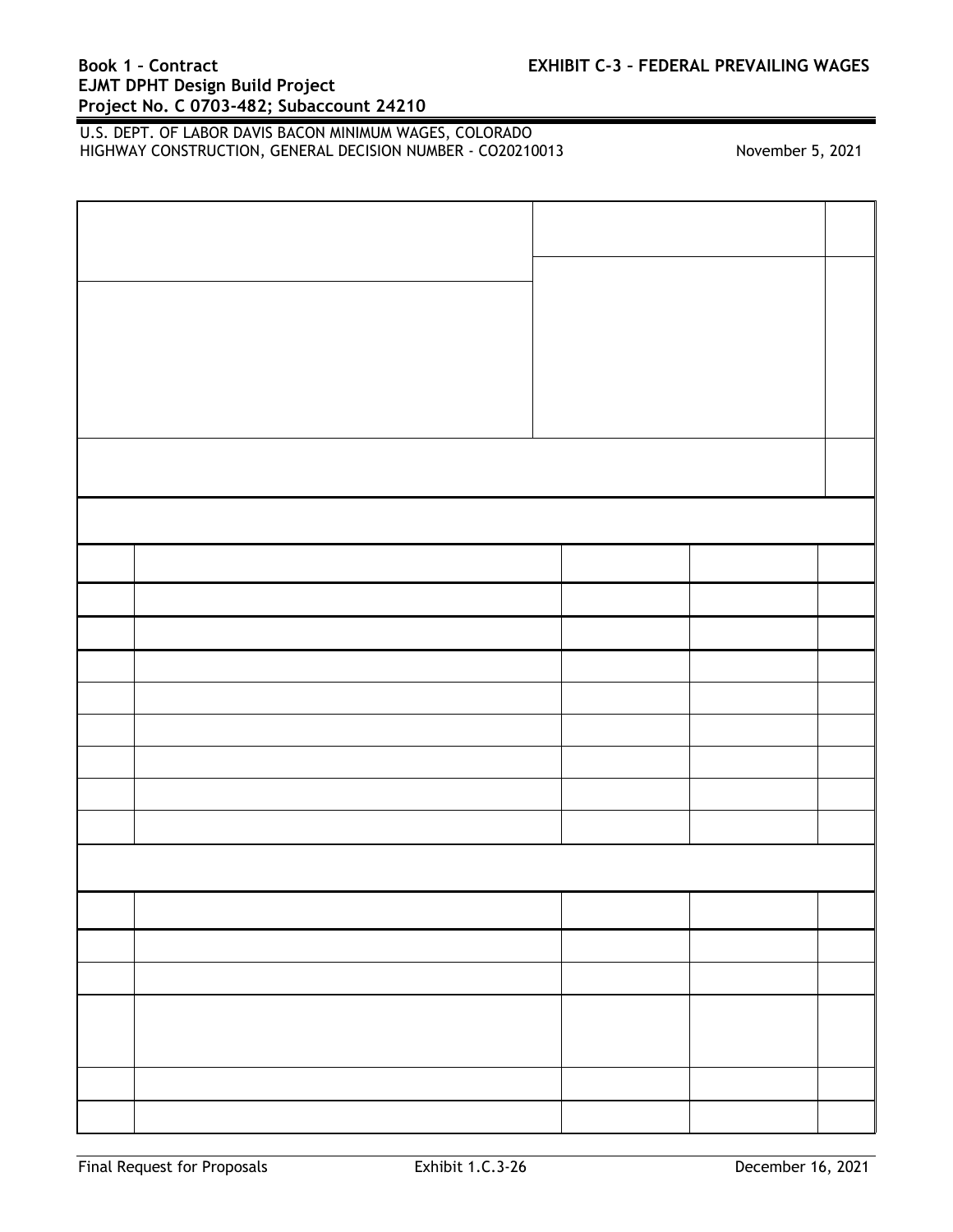U.S. DEPT. OF LABOR DAVIS BACON MINIMUM WAGES, COLORADO HIGHWAY CONSTRUCTION, GENERAL DECISION NUMBER - CO20210013 November 5, 2021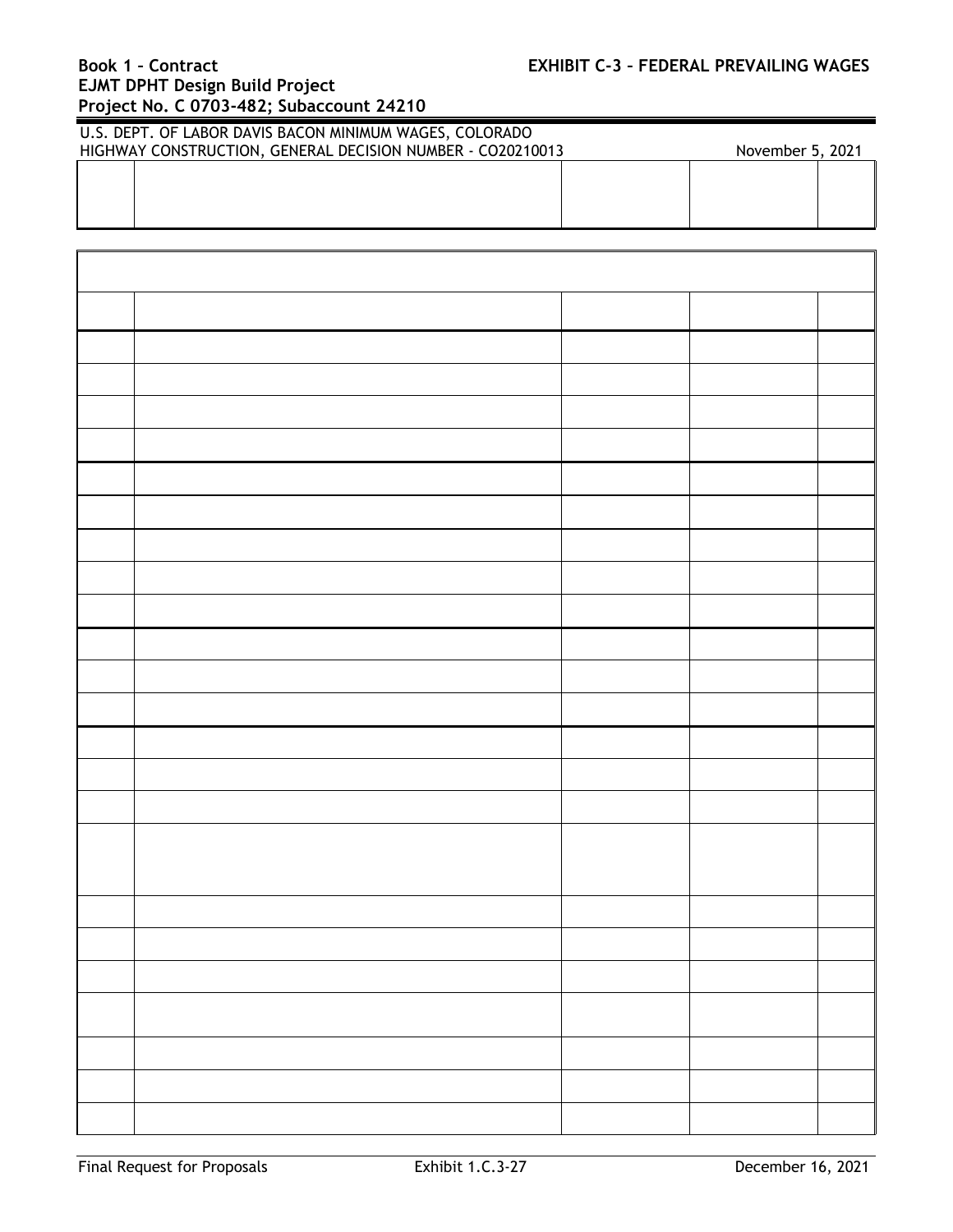| U.S. DEPT. OF LABOR DAVIS BACON MINIMUM WAGES, COLORADO    |                  |  |
|------------------------------------------------------------|------------------|--|
| HIGHWAY CONSTRUCTION, GENERAL DECISION NUMBER - CO20210013 | November 5, 2021 |  |
|                                                            |                  |  |
|                                                            |                  |  |
|                                                            |                  |  |
|                                                            |                  |  |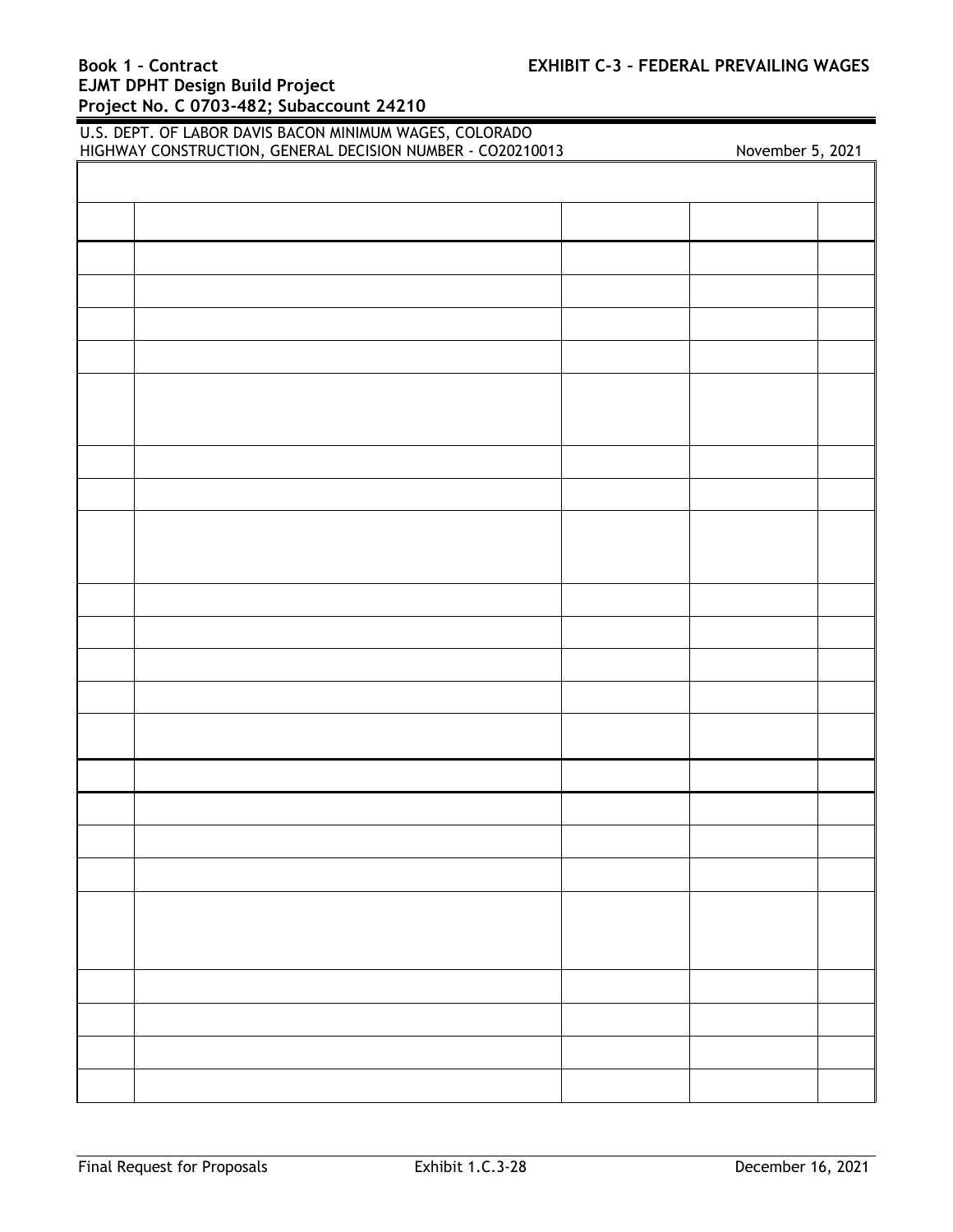| HIGHWAY CONSTRUCTION, GENERAL DECISION NUMBER - CO20210013 | November 5, 2021 |  |
|------------------------------------------------------------|------------------|--|
|                                                            |                  |  |
|                                                            |                  |  |
|                                                            |                  |  |
|                                                            |                  |  |
|                                                            |                  |  |
|                                                            |                  |  |
|                                                            |                  |  |
|                                                            |                  |  |
|                                                            |                  |  |
|                                                            |                  |  |
|                                                            |                  |  |
|                                                            |                  |  |
|                                                            |                  |  |
|                                                            |                  |  |
|                                                            |                  |  |
|                                                            |                  |  |
|                                                            |                  |  |
|                                                            |                  |  |
|                                                            |                  |  |
|                                                            |                  |  |
|                                                            |                  |  |
|                                                            |                  |  |
|                                                            |                  |  |
|                                                            |                  |  |
|                                                            |                  |  |
|                                                            |                  |  |
|                                                            |                  |  |
|                                                            |                  |  |
|                                                            |                  |  |
|                                                            |                  |  |
|                                                            |                  |  |
|                                                            |                  |  |
|                                                            |                  |  |
|                                                            |                  |  |
|                                                            |                  |  |
|                                                            |                  |  |
|                                                            |                  |  |
|                                                            |                  |  |
|                                                            |                  |  |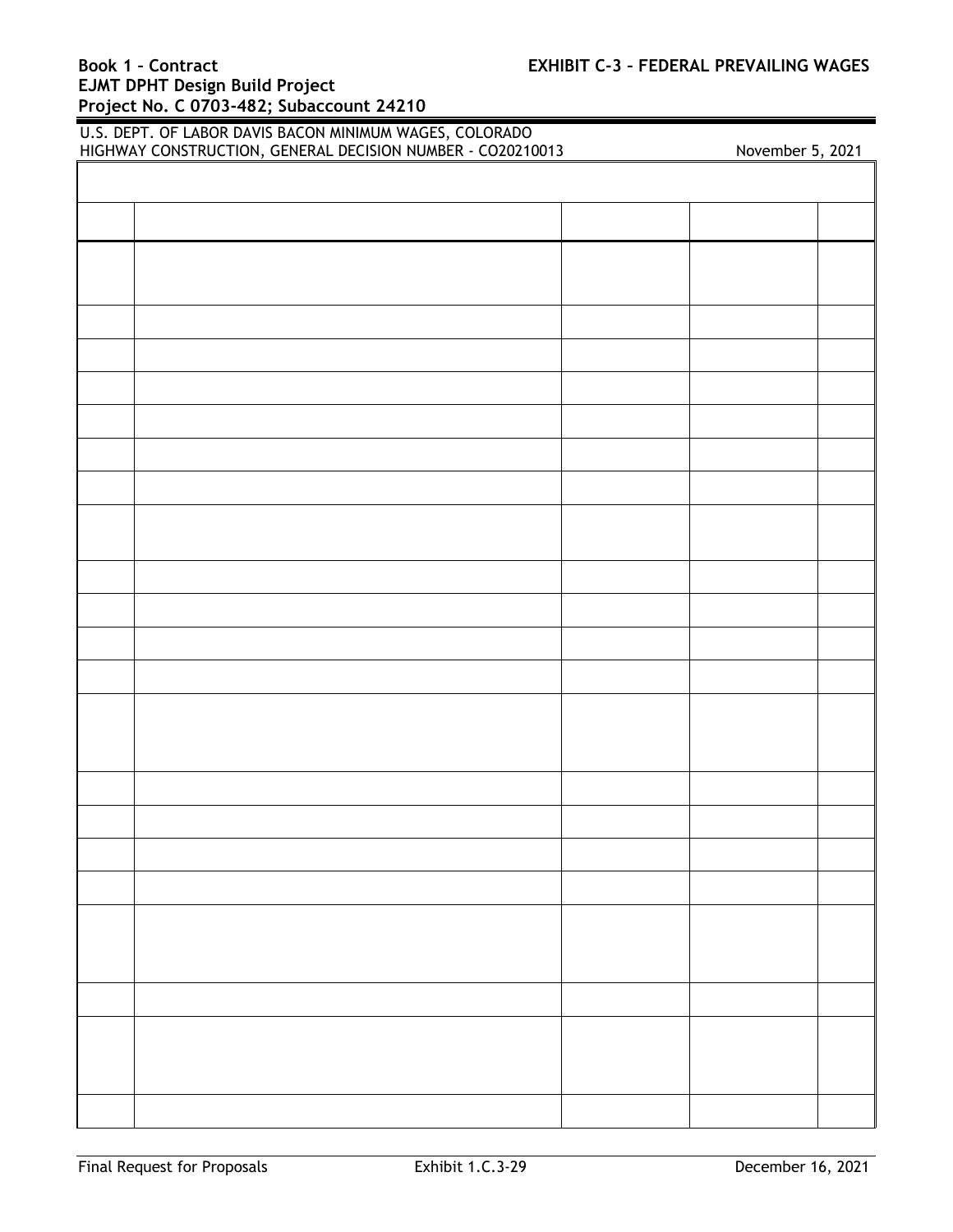| HIGHWAY CONSTRUCTION, GENERAL DECISION NUMBER - CO20210013 | November 5, 2021 |
|------------------------------------------------------------|------------------|
|                                                            |                  |
|                                                            |                  |
|                                                            |                  |
|                                                            |                  |
|                                                            |                  |
|                                                            |                  |
|                                                            |                  |
|                                                            |                  |
|                                                            |                  |
|                                                            |                  |
|                                                            |                  |
|                                                            |                  |
|                                                            |                  |
|                                                            |                  |
|                                                            |                  |
|                                                            |                  |
|                                                            |                  |
|                                                            |                  |
|                                                            |                  |
|                                                            |                  |
|                                                            |                  |
|                                                            |                  |
|                                                            |                  |
|                                                            |                  |
|                                                            |                  |
|                                                            |                  |
|                                                            |                  |
|                                                            |                  |
|                                                            |                  |
|                                                            |                  |
|                                                            |                  |
|                                                            |                  |
|                                                            |                  |
|                                                            |                  |
|                                                            |                  |
|                                                            |                  |
|                                                            |                  |
|                                                            |                  |
|                                                            |                  |
|                                                            |                  |
|                                                            |                  |
|                                                            |                  |
|                                                            |                  |
|                                                            |                  |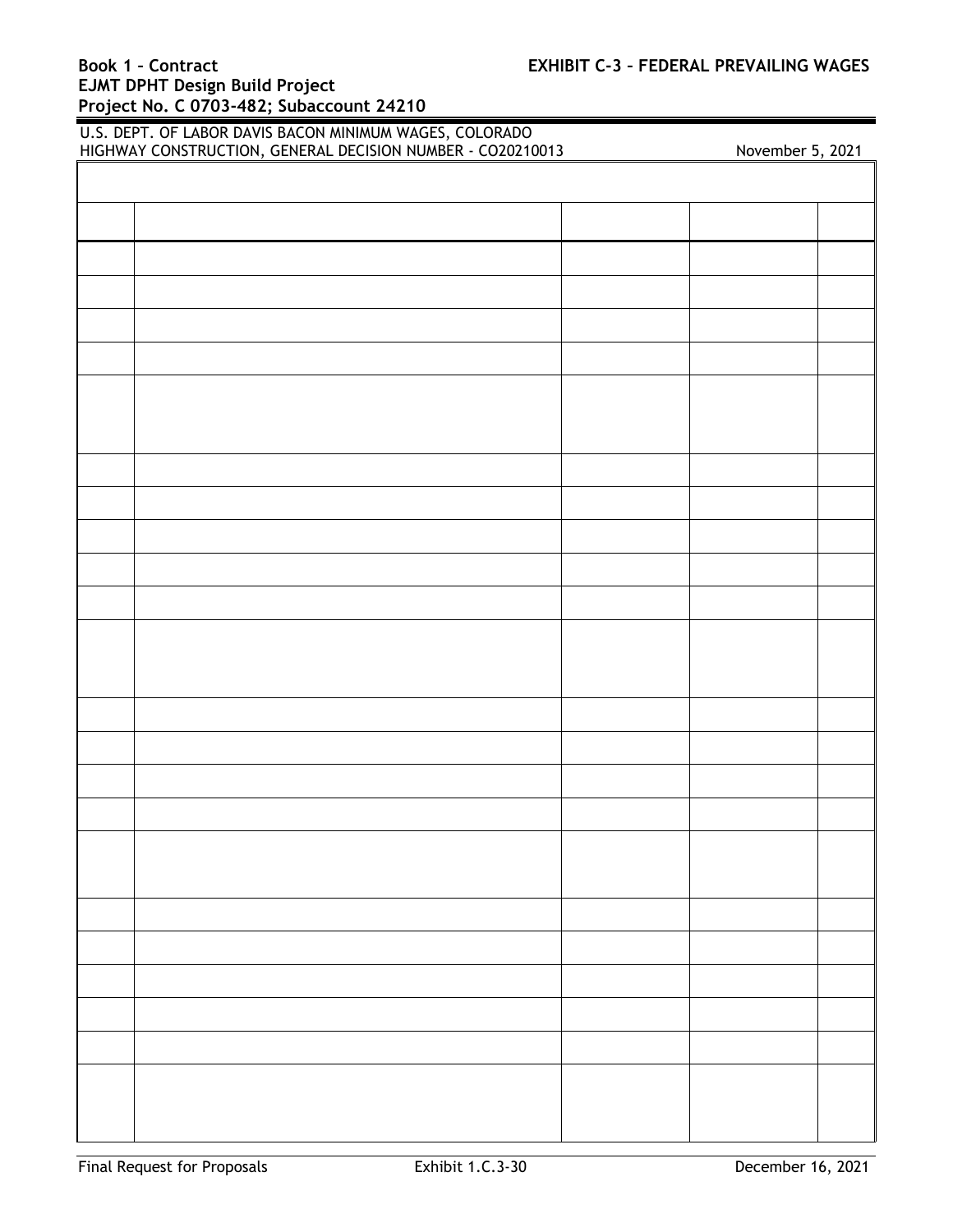| HIGHWAY CONSTRUCTION, GENERAL DECISION NUMBER - CO20210013 | November 5, 2021 |  |
|------------------------------------------------------------|------------------|--|
|                                                            |                  |  |
|                                                            |                  |  |
|                                                            |                  |  |
|                                                            |                  |  |
|                                                            |                  |  |
|                                                            |                  |  |
|                                                            |                  |  |
|                                                            |                  |  |
|                                                            |                  |  |
|                                                            |                  |  |
|                                                            |                  |  |
|                                                            |                  |  |
|                                                            |                  |  |
|                                                            |                  |  |
|                                                            |                  |  |
|                                                            |                  |  |
|                                                            |                  |  |
|                                                            |                  |  |
|                                                            |                  |  |
|                                                            |                  |  |
|                                                            |                  |  |
|                                                            |                  |  |
|                                                            |                  |  |
|                                                            |                  |  |
|                                                            |                  |  |
|                                                            |                  |  |
|                                                            |                  |  |
|                                                            |                  |  |
|                                                            |                  |  |
|                                                            |                  |  |
|                                                            |                  |  |
|                                                            |                  |  |
|                                                            |                  |  |
|                                                            |                  |  |
|                                                            |                  |  |
|                                                            |                  |  |
|                                                            |                  |  |
|                                                            |                  |  |
|                                                            |                  |  |
|                                                            |                  |  |
|                                                            |                  |  |
|                                                            |                  |  |
|                                                            |                  |  |
|                                                            |                  |  |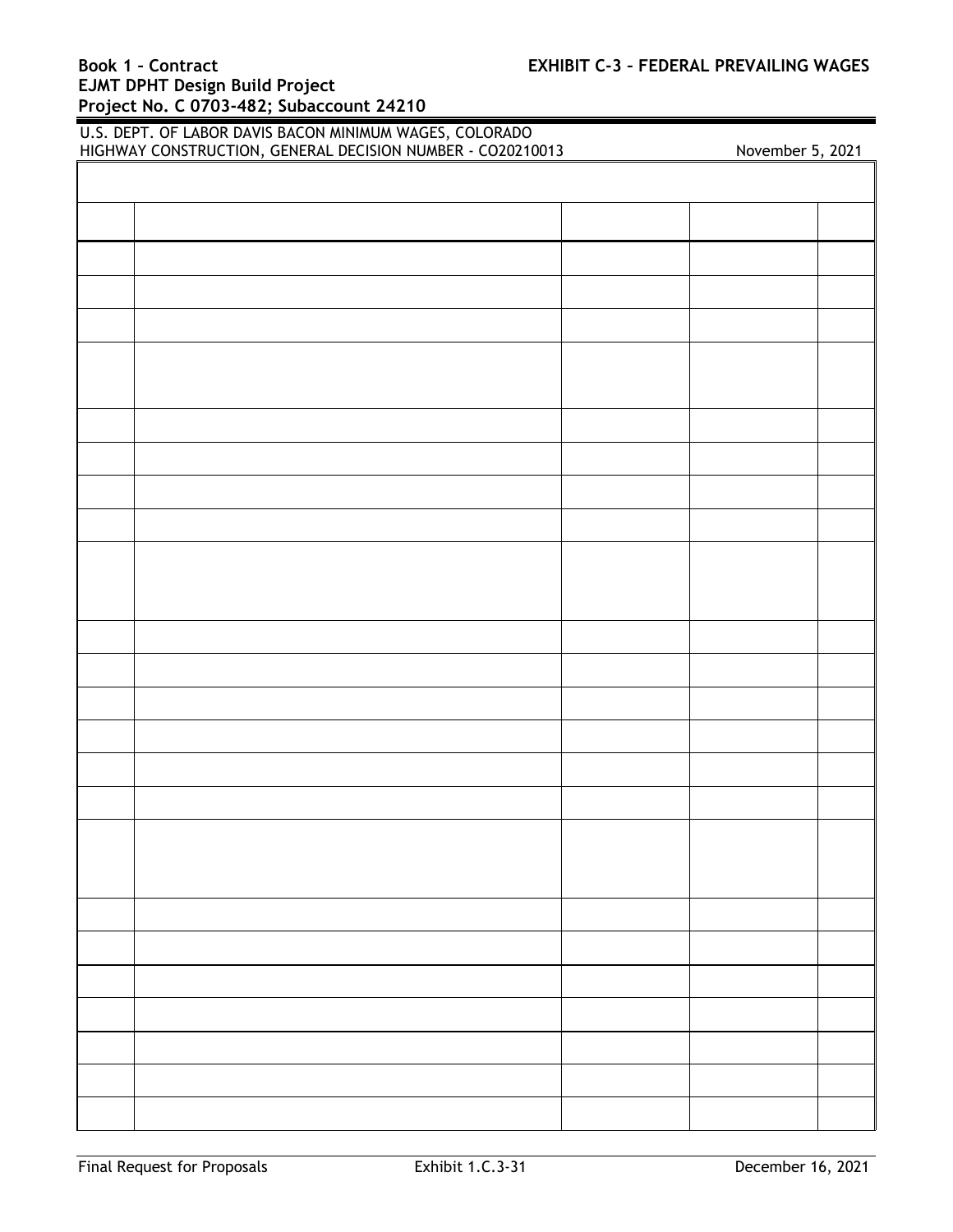| HIGHWAY CONSTRUCTION, GENERAL DECISION NUMBER - CO20210013 |  | November 5, 2021 |  |
|------------------------------------------------------------|--|------------------|--|
|                                                            |  |                  |  |
|                                                            |  |                  |  |
|                                                            |  |                  |  |
|                                                            |  |                  |  |
|                                                            |  |                  |  |
|                                                            |  |                  |  |
|                                                            |  |                  |  |
|                                                            |  |                  |  |
|                                                            |  |                  |  |
|                                                            |  |                  |  |
|                                                            |  |                  |  |
|                                                            |  |                  |  |
|                                                            |  |                  |  |
|                                                            |  |                  |  |
|                                                            |  |                  |  |
|                                                            |  |                  |  |
|                                                            |  |                  |  |
|                                                            |  |                  |  |
|                                                            |  |                  |  |
|                                                            |  |                  |  |
|                                                            |  |                  |  |
|                                                            |  |                  |  |
|                                                            |  |                  |  |
|                                                            |  |                  |  |
|                                                            |  |                  |  |
|                                                            |  |                  |  |
|                                                            |  |                  |  |
|                                                            |  |                  |  |
|                                                            |  |                  |  |
|                                                            |  |                  |  |
|                                                            |  |                  |  |
|                                                            |  |                  |  |
|                                                            |  |                  |  |
|                                                            |  |                  |  |
|                                                            |  |                  |  |
|                                                            |  |                  |  |
|                                                            |  |                  |  |
|                                                            |  |                  |  |
|                                                            |  |                  |  |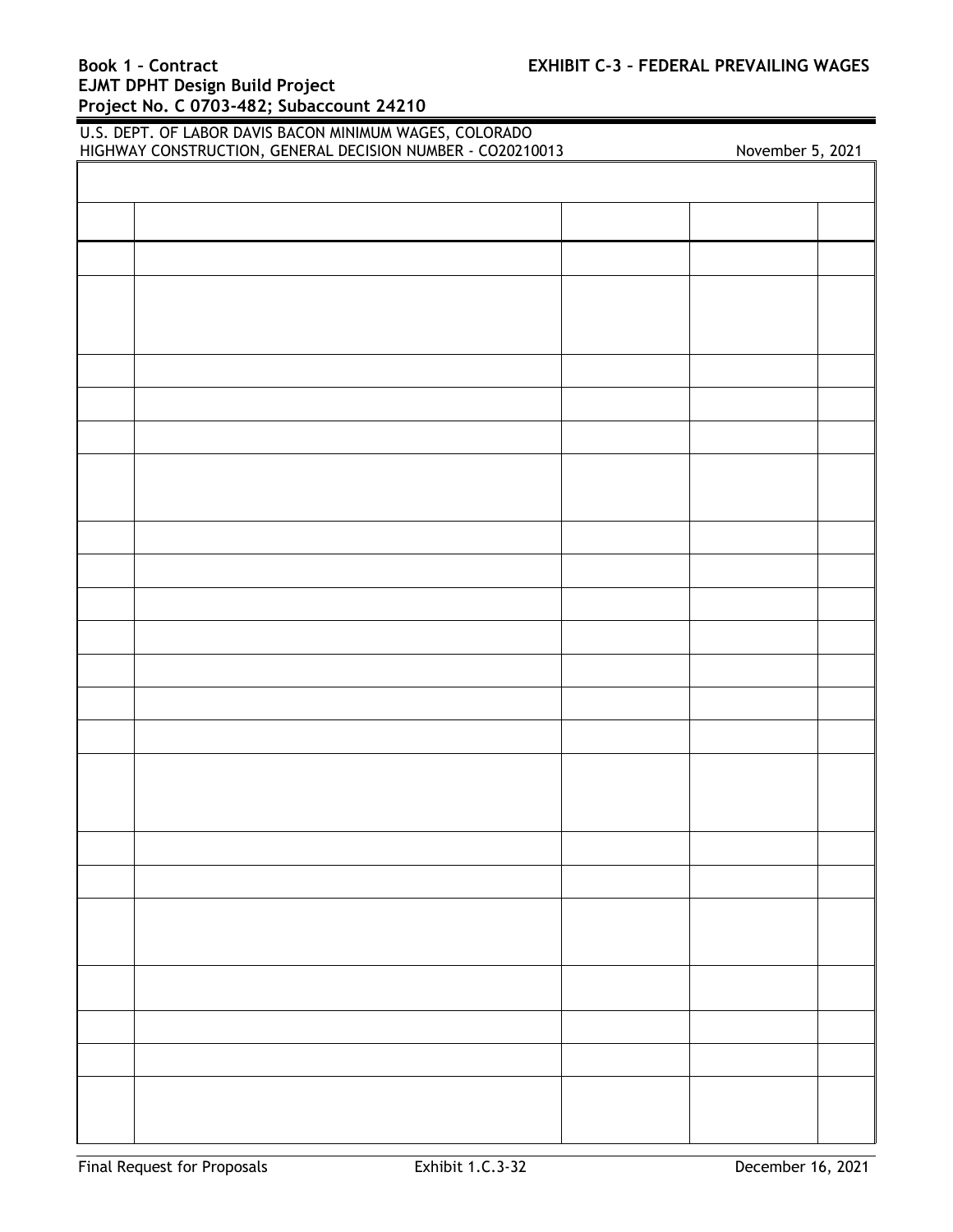| HIGHWAY CONSTRUCTION, GENERAL DECISION NUMBER - CO20210013 |  | November 5, 2021 |  |
|------------------------------------------------------------|--|------------------|--|
|                                                            |  |                  |  |
|                                                            |  |                  |  |
|                                                            |  |                  |  |
|                                                            |  |                  |  |
|                                                            |  |                  |  |
|                                                            |  |                  |  |
|                                                            |  |                  |  |
|                                                            |  |                  |  |
|                                                            |  |                  |  |
|                                                            |  |                  |  |
|                                                            |  |                  |  |
|                                                            |  |                  |  |
|                                                            |  |                  |  |
|                                                            |  |                  |  |
|                                                            |  |                  |  |
|                                                            |  |                  |  |
|                                                            |  |                  |  |
|                                                            |  |                  |  |
|                                                            |  |                  |  |
|                                                            |  |                  |  |
|                                                            |  |                  |  |
|                                                            |  |                  |  |
|                                                            |  |                  |  |
|                                                            |  |                  |  |
|                                                            |  |                  |  |
|                                                            |  |                  |  |
|                                                            |  |                  |  |
|                                                            |  |                  |  |
|                                                            |  |                  |  |
|                                                            |  |                  |  |
|                                                            |  |                  |  |
|                                                            |  |                  |  |
|                                                            |  |                  |  |
|                                                            |  |                  |  |
|                                                            |  |                  |  |
|                                                            |  |                  |  |
|                                                            |  |                  |  |
|                                                            |  |                  |  |
|                                                            |  |                  |  |
|                                                            |  |                  |  |
|                                                            |  |                  |  |
|                                                            |  |                  |  |
|                                                            |  |                  |  |
|                                                            |  |                  |  |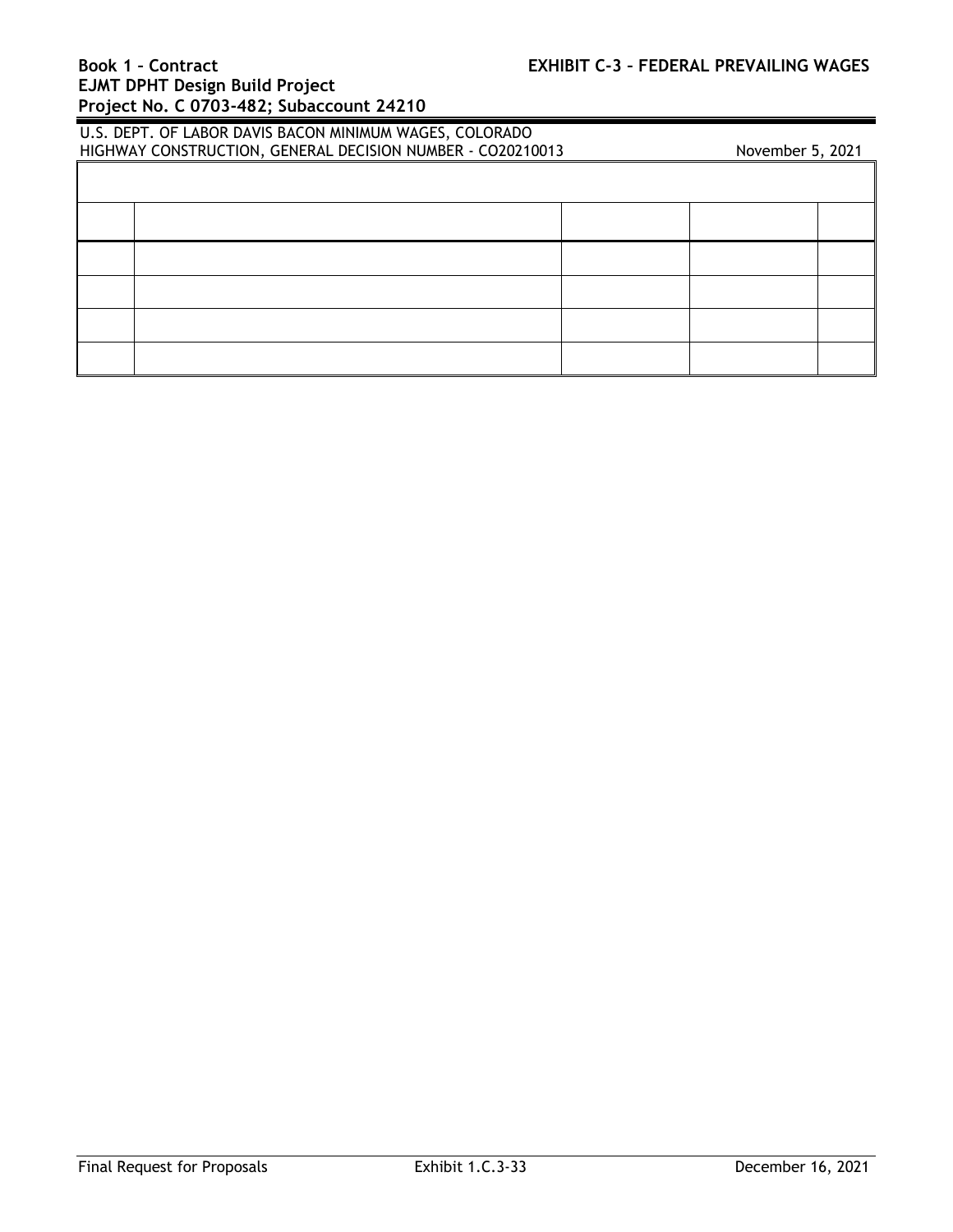| U.S. DEPT. OF LABOR DAVIS BACON MINIMUM WAGES, COLORADO<br>HIGHWAY CONSTRUCTION, GENERAL DECISION NUMBER - CO20210013<br>November 5, 2021 |  |  |  |  |  |
|-------------------------------------------------------------------------------------------------------------------------------------------|--|--|--|--|--|
|                                                                                                                                           |  |  |  |  |  |
|                                                                                                                                           |  |  |  |  |  |
|                                                                                                                                           |  |  |  |  |  |
|                                                                                                                                           |  |  |  |  |  |
|                                                                                                                                           |  |  |  |  |  |
|                                                                                                                                           |  |  |  |  |  |